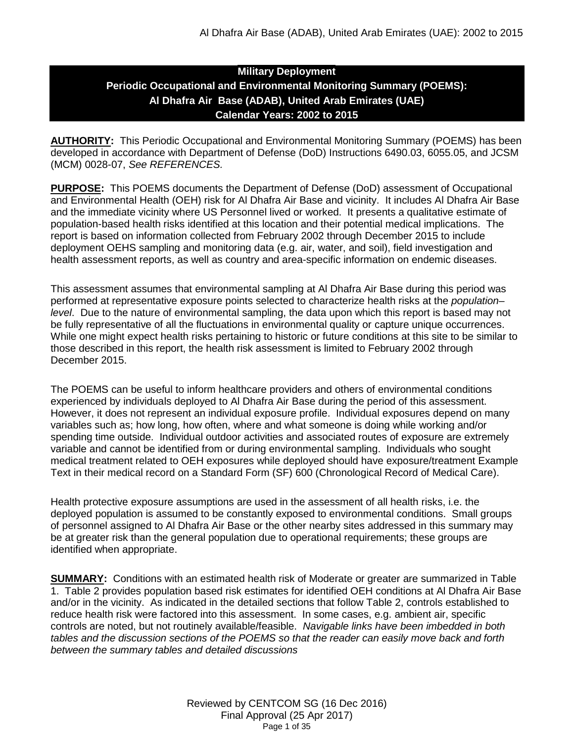## **Military Deployment Periodic Occupational and Environmental Monitoring Summary (POEMS): Al Dhafra Air Base (ADAB), United Arab Emirates (UAE) Calendar Years: 2002 to 2015**

**AUTHORITY:** This Periodic Occupational and Environmental Monitoring Summary (POEMS) has been developed in accordance with Department of Defense (DoD) Instructions 6490.03, 6055.05, and JCSM (MCM) 0028-07, *See REFERENCES.*

**PURPOSE:** This POEMS documents the Department of Defense (DoD) assessment of Occupational and Environmental Health (OEH) risk for Al Dhafra Air Base and vicinity. It includes Al Dhafra Air Base and the immediate vicinity where US Personnel lived or worked. It presents a qualitative estimate of population-based health risks identified at this location and their potential medical implications. The report is based on information collected from February 2002 through December 2015 to include deployment OEHS sampling and monitoring data (e.g. air, water, and soil), field investigation and health assessment reports, as well as country and area-specific information on endemic diseases.

This assessment assumes that environmental sampling at Al Dhafra Air Base during this period was performed at representative exposure points selected to characterize health risks at the *population– level*. Due to the nature of environmental sampling, the data upon which this report is based may not be fully representative of all the fluctuations in environmental quality or capture unique occurrences. While one might expect health risks pertaining to historic or future conditions at this site to be similar to those described in this report, the health risk assessment is limited to February 2002 through December 2015.

The POEMS can be useful to inform healthcare providers and others of environmental conditions experienced by individuals deployed to Al Dhafra Air Base during the period of this assessment. However, it does not represent an individual exposure profile. Individual exposures depend on many variables such as; how long, how often, where and what someone is doing while working and/or spending time outside. Individual outdoor activities and associated routes of exposure are extremely variable and cannot be identified from or during environmental sampling. Individuals who sought medical treatment related to OEH exposures while deployed should have exposure/treatment Example Text in their medical record on a Standard Form (SF) 600 (Chronological Record of Medical Care).

Health protective exposure assumptions are used in the assessment of all health risks, i.e. the deployed population is assumed to be constantly exposed to environmental conditions. Small groups of personnel assigned to Al Dhafra Air Base or the other nearby sites addressed in this summary may be at greater risk than the general population due to operational requirements; these groups are identified when appropriate.

**SUMMARY:** Conditions with an estimated health risk of Moderate or greater are summarized in Table 1. Table 2 provides population based risk estimates for identified OEH conditions at Al Dhafra Air Base and/or in the vicinity. As indicated in the detailed sections that follow Table 2, controls established to reduce health risk were factored into this assessment. In some cases, e.g. ambient air, specific controls are noted, but not routinely available/feasible. *Navigable links have been imbedded in both tables and the discussion sections of the POEMS so that the reader can easily move back and forth between the summary tables and detailed discussions*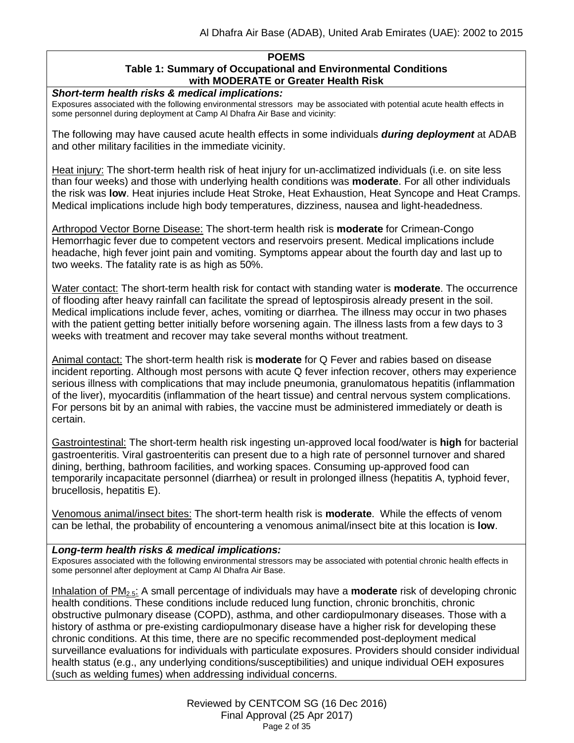#### **POEMS Table 1: Summary of Occupational and Environmental Conditions with MODERATE or Greater Health Risk**

*Short-term health risks & medical implications:*

Exposures associated with the following environmental stressors may be associated with potential acute health effects in some personnel during deployment at Camp Al Dhafra Air Base and vicinity:

The following may have caused acute health effects in some individuals *during deployment* at ADAB and other military facilities in the immediate vicinity.

Heat injury: The short-term health risk of heat injury for un-acclimatized individuals (i.e. on site less than four weeks) and those with underlying health conditions was **moderate**. For all other individuals the risk was **low**. Heat injuries include Heat Stroke, Heat Exhaustion, Heat Syncope and Heat Cramps. Medical implications include high body temperatures, dizziness, nausea and light-headedness.

Arthropod Vector Borne Disease: The short-term health risk is **moderate** for Crimean-Congo Hemorrhagic fever due to competent vectors and reservoirs present. Medical implications include headache, high fever joint pain and vomiting. Symptoms appear about the fourth day and last up to two weeks. The fatality rate is as high as 50%.

Water contact: The short-term health risk for contact with standing water is **moderate**. The occurrence of flooding after heavy rainfall can facilitate the spread of leptospirosis already present in the soil. Medical implications include fever, aches, vomiting or diarrhea. The illness may occur in two phases with the patient getting better initially before worsening again. The illness lasts from a few days to 3 weeks with treatment and recover may take several months without treatment.

Animal contact: The short-term health risk is **moderate** for Q Fever and rabies based on disease incident reporting. Although most persons with acute Q fever infection recover, others may experience serious illness with complications that may include pneumonia, granulomatous hepatitis (inflammation of the liver), myocarditis (inflammation of the heart tissue) and central nervous system complications. For persons bit by an animal with rabies, the vaccine must be administered immediately or death is certain.

Gastrointestinal: The short-term health risk ingesting un-approved local food/water is **high** for bacterial gastroenteritis. Viral gastroenteritis can present due to a high rate of personnel turnover and shared dining, berthing, bathroom facilities, and working spaces. Consuming up-approved food can temporarily incapacitate personnel (diarrhea) or result in prolonged illness (hepatitis A, typhoid fever, brucellosis, hepatitis E).

Venomous animal/insect bites: The short-term health risk is **moderate**. While the effects of venom can be lethal, the probability of encountering a venomous animal/insect bite at this location is **low**.

## *Long-term health risks & medical implications:*

Exposures associated with the following environmental stressors may be associated with potential chronic health effects in some personnel after deployment at Camp Al Dhafra Air Base.

Inhalation of PM2.5: A small percentage of individuals may have a **moderate** risk of developing chronic health conditions. These conditions include reduced lung function, chronic bronchitis, chronic obstructive pulmonary disease (COPD), asthma, and other cardiopulmonary diseases. Those with a history of asthma or pre-existing cardiopulmonary disease have a higher risk for developing these chronic conditions. At this time, there are no specific recommended post-deployment medical surveillance evaluations for individuals with particulate exposures. Providers should consider individual health status (e.g., any underlying conditions/susceptibilities) and unique individual OEH exposures (such as welding fumes) when addressing individual concerns.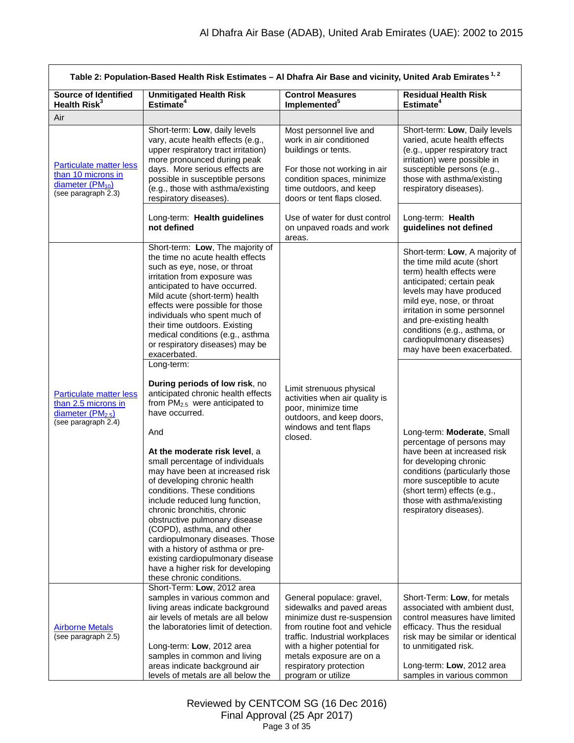<span id="page-2-1"></span><span id="page-2-0"></span>

| Table 2: Population-Based Health Risk Estimates - Al Dhafra Air Base and vicinity, United Arab Emirates <sup>1,2</sup> |                                                                                                                                                                                                                                                                                                                                                                                                                                                                                                                                                                                                                                |                                                                                                                                                                                                                                                                     |                                                                                                                                                                                                                                                                                                                                       |  |
|------------------------------------------------------------------------------------------------------------------------|--------------------------------------------------------------------------------------------------------------------------------------------------------------------------------------------------------------------------------------------------------------------------------------------------------------------------------------------------------------------------------------------------------------------------------------------------------------------------------------------------------------------------------------------------------------------------------------------------------------------------------|---------------------------------------------------------------------------------------------------------------------------------------------------------------------------------------------------------------------------------------------------------------------|---------------------------------------------------------------------------------------------------------------------------------------------------------------------------------------------------------------------------------------------------------------------------------------------------------------------------------------|--|
| <b>Source of Identified</b><br>Health $Risk^3$                                                                         | <b>Unmitigated Health Risk</b><br>Estimate $4$                                                                                                                                                                                                                                                                                                                                                                                                                                                                                                                                                                                 | <b>Control Measures</b><br>Implemented <sup>5</sup>                                                                                                                                                                                                                 | <b>Residual Health Risk</b><br>Estimate <sup>4</sup>                                                                                                                                                                                                                                                                                  |  |
| Air                                                                                                                    |                                                                                                                                                                                                                                                                                                                                                                                                                                                                                                                                                                                                                                |                                                                                                                                                                                                                                                                     |                                                                                                                                                                                                                                                                                                                                       |  |
| <b>Particulate matter less</b><br>than 10 microns in<br>diameter $(PM_{10})$<br>$(see$ paragraph $2.3)$                | Short-term: Low, daily levels<br>vary, acute health effects (e.g.,<br>upper respiratory tract irritation)<br>more pronounced during peak<br>days. More serious effects are<br>possible in susceptible persons<br>(e.g., those with asthma/existing<br>respiratory diseases).                                                                                                                                                                                                                                                                                                                                                   | Most personnel live and<br>work in air conditioned<br>buildings or tents.<br>For those not working in air<br>condition spaces, minimize<br>time outdoors, and keep<br>doors or tent flaps closed.                                                                   | Short-term: Low, Daily levels<br>varied, acute health effects<br>(e.g., upper respiratory tract<br>irritation) were possible in<br>susceptible persons (e.g.,<br>those with asthma/existing<br>respiratory diseases).                                                                                                                 |  |
|                                                                                                                        | Long-term: Health guidelines<br>not defined                                                                                                                                                                                                                                                                                                                                                                                                                                                                                                                                                                                    | Use of water for dust control<br>on unpaved roads and work<br>areas.                                                                                                                                                                                                | Long-term: Health<br>guidelines not defined                                                                                                                                                                                                                                                                                           |  |
|                                                                                                                        | Short-term: Low, The majority of<br>the time no acute health effects<br>such as eye, nose, or throat<br>irritation from exposure was<br>anticipated to have occurred.<br>Mild acute (short-term) health<br>effects were possible for those<br>individuals who spent much of<br>their time outdoors. Existing<br>medical conditions (e.g., asthma<br>or respiratory diseases) may be<br>exacerbated.<br>Long-term:                                                                                                                                                                                                              |                                                                                                                                                                                                                                                                     | Short-term: Low, A majority of<br>the time mild acute (short<br>term) health effects were<br>anticipated; certain peak<br>levels may have produced<br>mild eye, nose, or throat<br>irritation in some personnel<br>and pre-existing health<br>conditions (e.g., asthma, or<br>cardiopulmonary diseases)<br>may have been exacerbated. |  |
| <b>Particulate matter less</b><br>than 2.5 microns in<br>diameter $(PM2.5)$<br>(see paragraph $2.4$ )                  | During periods of low risk, no<br>anticipated chronic health effects<br>from PM <sub>2.5</sub> were anticipated to<br>have occurred.<br>And<br>At the moderate risk level, a<br>small percentage of individuals<br>may have been at increased risk<br>of developing chronic health<br>conditions. These conditions<br>include reduced lung function,<br>chronic bronchitis, chronic<br>obstructive pulmonary disease<br>(COPD), asthma, and other<br>cardiopulmonary diseases. Those<br>with a history of asthma or pre-<br>existing cardiopulmonary disease<br>have a higher risk for developing<br>these chronic conditions. | Limit strenuous physical<br>activities when air quality is<br>poor, minimize time<br>outdoors, and keep doors,<br>windows and tent flaps<br>closed.                                                                                                                 | Long-term: Moderate, Small<br>percentage of persons may<br>have been at increased risk<br>for developing chronic<br>conditions (particularly those<br>more susceptible to acute<br>(short term) effects (e.g.,<br>those with asthma/existing<br>respiratory diseases).                                                                |  |
| <b>Airborne Metals</b><br>(see paragraph 2.5)                                                                          | Short-Term: Low, 2012 area<br>samples in various common and<br>living areas indicate background<br>air levels of metals are all below<br>the laboratories limit of detection.<br>Long-term: Low, 2012 area<br>samples in common and living<br>areas indicate background air<br>levels of metals are all below the                                                                                                                                                                                                                                                                                                              | General populace: gravel,<br>sidewalks and paved areas<br>minimize dust re-suspension<br>from routine foot and vehicle<br>traffic. Industrial workplaces<br>with a higher potential for<br>metals exposure are on a<br>respiratory protection<br>program or utilize | Short-Term: Low, for metals<br>associated with ambient dust,<br>control measures have limited<br>efficacy. Thus the residual<br>risk may be similar or identical<br>to unmitigated risk.<br>Long-term: Low, 2012 area<br>samples in various common                                                                                    |  |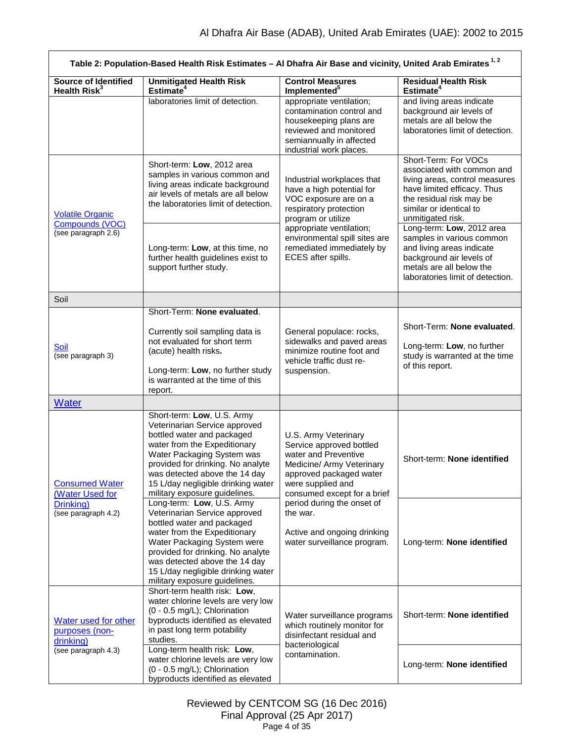<span id="page-3-3"></span><span id="page-3-2"></span><span id="page-3-1"></span><span id="page-3-0"></span>

| Table 2: Population-Based Health Risk Estimates - Al Dhafra Air Base and vicinity, United Arab Emirates <sup>1,2</sup> |                                                                                                                                                                                                                                                                                                      |                                                                                                                                                                                      |                                                                                                                                                                                                 |  |
|------------------------------------------------------------------------------------------------------------------------|------------------------------------------------------------------------------------------------------------------------------------------------------------------------------------------------------------------------------------------------------------------------------------------------------|--------------------------------------------------------------------------------------------------------------------------------------------------------------------------------------|-------------------------------------------------------------------------------------------------------------------------------------------------------------------------------------------------|--|
| <b>Source of Identified</b><br>Health Risk <sup>3</sup>                                                                | <b>Unmitigated Health Risk</b><br>Estimate <sup>4</sup>                                                                                                                                                                                                                                              | <b>Control Measures</b><br>Implemented <sup>5</sup>                                                                                                                                  | <b>Residual Health Risk</b><br>Estimate <sup>4</sup>                                                                                                                                            |  |
|                                                                                                                        | laboratories limit of detection.                                                                                                                                                                                                                                                                     | appropriate ventilation;<br>contamination control and<br>housekeeping plans are<br>reviewed and monitored<br>semiannually in affected<br>industrial work places.                     | and living areas indicate<br>background air levels of<br>metals are all below the<br>laboratories limit of detection.                                                                           |  |
| <b>Volatile Organic</b>                                                                                                | Short-term: Low, 2012 area<br>samples in various common and<br>living areas indicate background<br>air levels of metals are all below<br>the laboratories limit of detection.                                                                                                                        | Industrial workplaces that<br>have a high potential for<br>VOC exposure are on a<br>respiratory protection<br>program or utilize                                                     | Short-Term: For VOCs<br>associated with common and<br>living areas, control measures<br>have limited efficacy. Thus<br>the residual risk may be<br>similar or identical to<br>unmitigated risk. |  |
| Compounds (VOC)<br>(see paragraph 2.6)                                                                                 | Long-term: Low, at this time, no<br>further health guidelines exist to<br>support further study.                                                                                                                                                                                                     | appropriate ventilation;<br>environmental spill sites are<br>remediated immediately by<br>ECES after spills.                                                                         | Long-term: Low, 2012 area<br>samples in various common<br>and living areas indicate<br>background air levels of<br>metals are all below the<br>laboratories limit of detection.                 |  |
| Soil                                                                                                                   |                                                                                                                                                                                                                                                                                                      |                                                                                                                                                                                      |                                                                                                                                                                                                 |  |
| <b>Soil</b><br>(see paragraph 3)                                                                                       | Short-Term: None evaluated.<br>Currently soil sampling data is<br>not evaluated for short term<br>(acute) health risks.<br>Long-term: Low, no further study<br>is warranted at the time of this<br>report.                                                                                           | General populace: rocks,<br>sidewalks and paved areas<br>minimize routine foot and<br>vehicle traffic dust re-<br>suspension.                                                        | Short-Term: None evaluated.<br>Long-term: Low, no further<br>study is warranted at the time<br>of this report.                                                                                  |  |
| <b>Water</b>                                                                                                           |                                                                                                                                                                                                                                                                                                      |                                                                                                                                                                                      |                                                                                                                                                                                                 |  |
| <b>Consumed Water</b><br>(Water Used for                                                                               | Short-term: Low, U.S. Army<br>Veterinarian Service approved<br>bottled water and packaged<br>water from the Expeditionary<br>Water Packaging System was<br>provided for drinking. No analyte<br>was detected above the 14 day<br>15 L/day negligible drinking water<br>military exposure guidelines. | U.S. Army Veterinary<br>Service approved bottled<br>water and Preventive<br>Medicine/ Army Veterinary<br>approved packaged water<br>were supplied and<br>consumed except for a brief | Short-term: None identified                                                                                                                                                                     |  |
| Drinking)<br>(see paragraph 4.2)                                                                                       | Long-term: Low, U.S. Army<br>Veterinarian Service approved<br>bottled water and packaged<br>water from the Expeditionary<br>Water Packaging System were<br>provided for drinking. No analyte<br>was detected above the 14 day<br>15 L/day negligible drinking water<br>military exposure guidelines. | period during the onset of<br>the war.<br>Active and ongoing drinking<br>water surveillance program.                                                                                 | Long-term: None identified                                                                                                                                                                      |  |
| Water used for other<br>purposes (non-<br>drinking)                                                                    | Short-term health risk: Low,<br>water chlorine levels are very low<br>(0 - 0.5 mg/L); Chlorination<br>byproducts identified as elevated<br>in past long term potability<br>studies.                                                                                                                  | Water surveillance programs<br>which routinely monitor for<br>disinfectant residual and<br>bacteriological                                                                           | Short-term: None identified                                                                                                                                                                     |  |
| (see paragraph 4.3)                                                                                                    | Long-term health risk: Low,<br>water chlorine levels are very low<br>(0 - 0.5 mg/L); Chlorination<br>byproducts identified as elevated                                                                                                                                                               | contamination.                                                                                                                                                                       | Long-term: None identified                                                                                                                                                                      |  |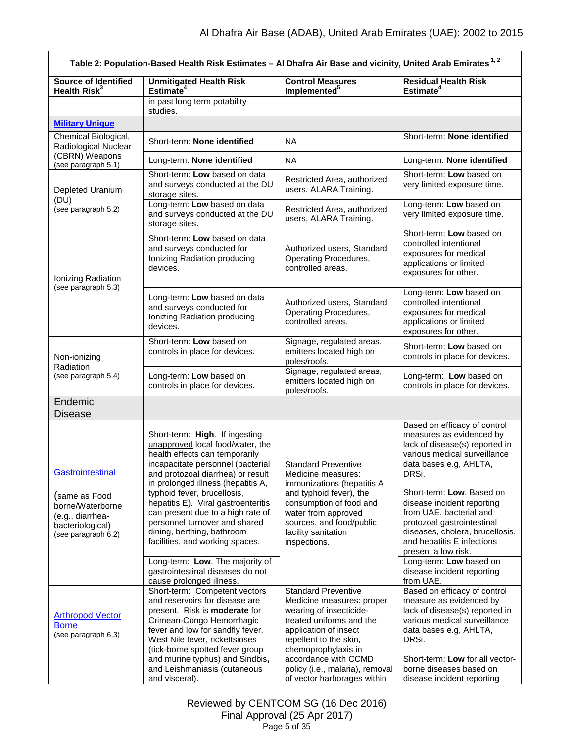<span id="page-4-1"></span><span id="page-4-0"></span>

| Table 2: Population-Based Health Risk Estimates - Al Dhafra Air Base and vicinity, United Arab Emirates <sup>1,2</sup> |                                                                                                                                                                                                                                                                                                                                                                                                                                   |                                                                                                                                                                                                                                                                                    |                                                                                                                                                                                                                                                                                                                                                                           |  |
|------------------------------------------------------------------------------------------------------------------------|-----------------------------------------------------------------------------------------------------------------------------------------------------------------------------------------------------------------------------------------------------------------------------------------------------------------------------------------------------------------------------------------------------------------------------------|------------------------------------------------------------------------------------------------------------------------------------------------------------------------------------------------------------------------------------------------------------------------------------|---------------------------------------------------------------------------------------------------------------------------------------------------------------------------------------------------------------------------------------------------------------------------------------------------------------------------------------------------------------------------|--|
| <b>Source of Identified</b><br>Health Risk <sup>3</sup>                                                                | <b>Unmitigated Health Risk</b><br>Estimate <sup>4</sup>                                                                                                                                                                                                                                                                                                                                                                           | <b>Control Measures</b><br>Implemented <sup>5</sup>                                                                                                                                                                                                                                | <b>Residual Health Risk</b><br>Estimate <sup>4</sup>                                                                                                                                                                                                                                                                                                                      |  |
|                                                                                                                        | in past long term potability<br>studies.                                                                                                                                                                                                                                                                                                                                                                                          |                                                                                                                                                                                                                                                                                    |                                                                                                                                                                                                                                                                                                                                                                           |  |
| <b>Military Unique</b>                                                                                                 |                                                                                                                                                                                                                                                                                                                                                                                                                                   |                                                                                                                                                                                                                                                                                    |                                                                                                                                                                                                                                                                                                                                                                           |  |
| Chemical Biological,<br>Radiological Nuclear                                                                           | Short-term: None identified                                                                                                                                                                                                                                                                                                                                                                                                       | <b>NA</b>                                                                                                                                                                                                                                                                          | Short-term: None identified                                                                                                                                                                                                                                                                                                                                               |  |
| (CBRN) Weapons<br>(see paragraph 5.1)                                                                                  | Long-term: None identified                                                                                                                                                                                                                                                                                                                                                                                                        | <b>NA</b>                                                                                                                                                                                                                                                                          | Long-term: None identified                                                                                                                                                                                                                                                                                                                                                |  |
| Depleted Uranium<br>(DU)                                                                                               | Short-term: Low based on data<br>and surveys conducted at the DU<br>storage sites.                                                                                                                                                                                                                                                                                                                                                | Restricted Area, authorized<br>users, ALARA Training.                                                                                                                                                                                                                              | Short-term: Low based on<br>very limited exposure time.                                                                                                                                                                                                                                                                                                                   |  |
| (see paragraph 5.2)                                                                                                    | Long-term: Low based on data<br>and surveys conducted at the DU<br>storage sites.                                                                                                                                                                                                                                                                                                                                                 | Restricted Area, authorized<br>users, ALARA Training.                                                                                                                                                                                                                              | Long-term: Low based on<br>very limited exposure time.                                                                                                                                                                                                                                                                                                                    |  |
| Ionizing Radiation                                                                                                     | Short-term: Low based on data<br>and surveys conducted for<br>Ionizing Radiation producing<br>devices.                                                                                                                                                                                                                                                                                                                            | Authorized users, Standard<br>Operating Procedures,<br>controlled areas.                                                                                                                                                                                                           | Short-term: Low based on<br>controlled intentional<br>exposures for medical<br>applications or limited<br>exposures for other.                                                                                                                                                                                                                                            |  |
| (see paragraph 5.3)                                                                                                    | Long-term: Low based on data<br>and surveys conducted for<br>Ionizing Radiation producing<br>devices.                                                                                                                                                                                                                                                                                                                             | Authorized users, Standard<br>Operating Procedures,<br>controlled areas.                                                                                                                                                                                                           | Long-term: Low based on<br>controlled intentional<br>exposures for medical<br>applications or limited<br>exposures for other.                                                                                                                                                                                                                                             |  |
| Non-ionizing<br>Radiation                                                                                              | Short-term: Low based on<br>controls in place for devices.                                                                                                                                                                                                                                                                                                                                                                        | Signage, regulated areas,<br>emitters located high on<br>poles/roofs.                                                                                                                                                                                                              | Short-term: Low based on<br>controls in place for devices.                                                                                                                                                                                                                                                                                                                |  |
| (see paragraph 5.4)                                                                                                    | Long-term: Low based on<br>controls in place for devices.                                                                                                                                                                                                                                                                                                                                                                         | Signage, regulated areas,<br>emitters located high on<br>poles/roofs.                                                                                                                                                                                                              | Long-term: Low based on<br>controls in place for devices.                                                                                                                                                                                                                                                                                                                 |  |
| Endemic<br><b>Disease</b>                                                                                              |                                                                                                                                                                                                                                                                                                                                                                                                                                   |                                                                                                                                                                                                                                                                                    |                                                                                                                                                                                                                                                                                                                                                                           |  |
| Gastrointestinal<br>(same as Food<br>borne/Waterborne<br>(e.g., diarrhea-<br>bacteriological)<br>(see paragraph 6.2)   | Short-term: High. If ingesting<br>unapproved local food/water, the<br>health effects can temporarily<br>incapacitate personnel (bacterial<br>and protozoal diarrhea) or result<br>in prolonged illness (hepatitis A,<br>typhoid fever, brucellosis,<br>hepatitis E). Viral gastroenteritis<br>can present due to a high rate of<br>personnel turnover and shared<br>dining, berthing, bathroom<br>facilities, and working spaces. | <b>Standard Preventive</b><br>Medicine measures:<br>immunizations (hepatitis A<br>and typhoid fever), the<br>consumption of food and<br>water from approved<br>sources, and food/public<br>facility sanitation<br>inspections.                                                     | Based on efficacy of control<br>measures as evidenced by<br>lack of disease(s) reported in<br>various medical surveillance<br>data bases e.g, AHLTA,<br>DRSi.<br>Short-term: Low. Based on<br>disease incident reporting<br>from UAE, bacterial and<br>protozoal gastrointestinal<br>diseases, cholera, brucellosis,<br>and hepatitis E infections<br>present a low risk. |  |
|                                                                                                                        | Long-term: Low. The majority of<br>gastrointestinal diseases do not<br>cause prolonged illness.                                                                                                                                                                                                                                                                                                                                   |                                                                                                                                                                                                                                                                                    | Long-term: Low based on<br>disease incident reporting<br>from UAE.                                                                                                                                                                                                                                                                                                        |  |
| <b>Arthropod Vector</b><br><b>Borne</b><br>(see paragraph 6.3)                                                         | Short-term: Competent vectors<br>and reservoirs for disease are<br>present. Risk is moderate for<br>Crimean-Congo Hemorrhagic<br>fever and low for sandfly fever,<br>West Nile fever, rickettsioses<br>(tick-borne spotted fever group<br>and murine typhus) and Sindbis,<br>and Leishmaniasis (cutaneous<br>and visceral).                                                                                                       | <b>Standard Preventive</b><br>Medicine measures: proper<br>wearing of insecticide-<br>treated uniforms and the<br>application of insect<br>repellent to the skin,<br>chemoprophylaxis in<br>accordance with CCMD<br>policy (i.e., malaria), removal<br>of vector harborages within | Based on efficacy of control<br>measure as evidenced by<br>lack of disease(s) reported in<br>various medical surveillance<br>data bases e.g, AHLTA,<br>DRSi.<br>Short-term: Low for all vector-<br>borne diseases based on<br>disease incident reporting                                                                                                                  |  |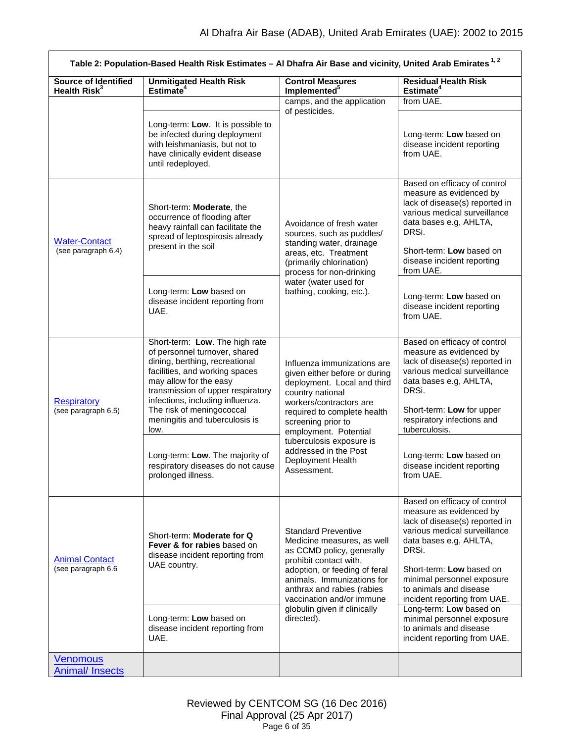<span id="page-5-2"></span><span id="page-5-1"></span><span id="page-5-0"></span>

| Table 2: Population-Based Health Risk Estimates - Al Dhafra Air Base and vicinity, United Arab Emirates <sup>1,2</sup> |                                                                                                                                                                                                                                                                                                               |                                                                                                                                                                                                                                                                           |                                                                                                                                                                                                                                                                                                             |  |
|------------------------------------------------------------------------------------------------------------------------|---------------------------------------------------------------------------------------------------------------------------------------------------------------------------------------------------------------------------------------------------------------------------------------------------------------|---------------------------------------------------------------------------------------------------------------------------------------------------------------------------------------------------------------------------------------------------------------------------|-------------------------------------------------------------------------------------------------------------------------------------------------------------------------------------------------------------------------------------------------------------------------------------------------------------|--|
| <b>Source of Identified</b><br>Health Risk <sup>3</sup>                                                                | <b>Unmitigated Health Risk</b><br>Estimate <sup>4</sup>                                                                                                                                                                                                                                                       | <b>Control Measures</b><br>Implemented <sup>5</sup>                                                                                                                                                                                                                       | <b>Residual Health Risk</b><br>Estimate <sup>4</sup>                                                                                                                                                                                                                                                        |  |
|                                                                                                                        |                                                                                                                                                                                                                                                                                                               | camps, and the application<br>of pesticides.                                                                                                                                                                                                                              | from UAE.                                                                                                                                                                                                                                                                                                   |  |
|                                                                                                                        | Long-term: Low. It is possible to<br>be infected during deployment<br>with leishmaniasis, but not to<br>have clinically evident disease<br>until redeployed.                                                                                                                                                  |                                                                                                                                                                                                                                                                           | Long-term: Low based on<br>disease incident reporting<br>from UAE.                                                                                                                                                                                                                                          |  |
| <b>Water-Contact</b><br>(see paragraph 6.4)                                                                            | Short-term: Moderate, the<br>occurrence of flooding after<br>heavy rainfall can facilitate the<br>spread of leptospirosis already<br>present in the soil                                                                                                                                                      | Avoidance of fresh water<br>sources, such as puddles/<br>standing water, drainage<br>areas, etc. Treatment<br>(primarily chlorination)<br>process for non-drinking                                                                                                        | Based on efficacy of control<br>measure as evidenced by<br>lack of disease(s) reported in<br>various medical surveillance<br>data bases e.g, AHLTA,<br>DRSi.<br>Short-term: Low based on<br>disease incident reporting<br>from UAE.                                                                         |  |
|                                                                                                                        | Long-term: Low based on<br>disease incident reporting from<br>UAE.                                                                                                                                                                                                                                            | water (water used for<br>bathing, cooking, etc.).                                                                                                                                                                                                                         | Long-term: Low based on<br>disease incident reporting<br>from UAE.                                                                                                                                                                                                                                          |  |
| <b>Respiratory</b><br>(see paragraph 6.5)                                                                              | Short-term: Low. The high rate<br>of personnel turnover, shared<br>dining, berthing, recreational<br>facilities, and working spaces<br>may allow for the easy<br>transmission of upper respiratory<br>infections, including influenza.<br>The risk of meningococcal<br>meningitis and tuberculosis is<br>low. | Influenza immunizations are<br>given either before or during<br>deployment. Local and third<br>country national<br>workers/contractors are<br>required to complete health<br>screening prior to<br>employment. Potential                                                  | Based on efficacy of control<br>measure as evidenced by<br>lack of disease(s) reported in<br>various medical surveillance<br>data bases e.g, AHLTA,<br>DRSi.<br>Short-term: Low for upper<br>respiratory infections and<br>tuberculosis.                                                                    |  |
|                                                                                                                        | Long-term: Low. The majority of<br>respiratory diseases do not cause<br>prolonged illness.                                                                                                                                                                                                                    | tuberculosis exposure is<br>addressed in the Post<br>Deployment Health<br>Assessment.                                                                                                                                                                                     | Long-term: Low based on<br>disease incident reporting<br>from UAE.                                                                                                                                                                                                                                          |  |
| <b>Animal Contact</b><br>(see paragraph 6.6                                                                            | Short-term: Moderate for Q<br>Fever & for rabies based on<br>disease incident reporting from<br>UAE country.                                                                                                                                                                                                  | <b>Standard Preventive</b><br>Medicine measures, as well<br>as CCMD policy, generally<br>prohibit contact with,<br>adoption, or feeding of feral<br>animals. Immunizations for<br>anthrax and rabies (rabies<br>vaccination and/or immune<br>globulin given if clinically | Based on efficacy of control<br>measure as evidenced by<br>lack of disease(s) reported in<br>various medical surveillance<br>data bases e.g, AHLTA,<br>DRSi.<br>Short-term: Low based on<br>minimal personnel exposure<br>to animals and disease<br>incident reporting from UAE.<br>Long-term: Low based on |  |
|                                                                                                                        | Long-term: Low based on<br>disease incident reporting from<br>UAE.                                                                                                                                                                                                                                            | directed).                                                                                                                                                                                                                                                                | minimal personnel exposure<br>to animals and disease<br>incident reporting from UAE.                                                                                                                                                                                                                        |  |
| <b>Venomous</b><br><b>Animal/Insects</b>                                                                               |                                                                                                                                                                                                                                                                                                               |                                                                                                                                                                                                                                                                           |                                                                                                                                                                                                                                                                                                             |  |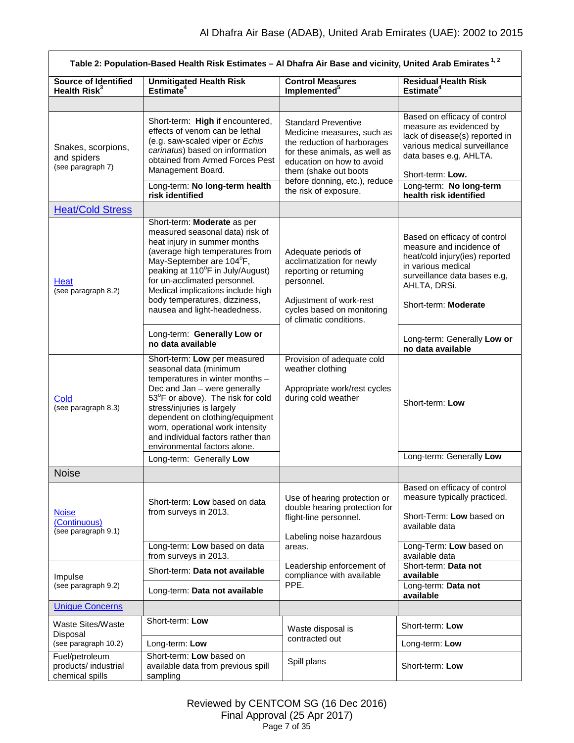<span id="page-6-4"></span><span id="page-6-3"></span><span id="page-6-2"></span><span id="page-6-1"></span><span id="page-6-0"></span>

| Table 2: Population-Based Health Risk Estimates - Al Dhafra Air Base and vicinity, United Arab Emirates <sup>1,2</sup> |                                                                                                                                                                                                                                                                                                                                           |                                                                                                                                                                                 |                                                                                                                                                                                          |  |  |
|------------------------------------------------------------------------------------------------------------------------|-------------------------------------------------------------------------------------------------------------------------------------------------------------------------------------------------------------------------------------------------------------------------------------------------------------------------------------------|---------------------------------------------------------------------------------------------------------------------------------------------------------------------------------|------------------------------------------------------------------------------------------------------------------------------------------------------------------------------------------|--|--|
| <b>Source of Identified</b><br>Health Risk <sup>3</sup>                                                                | <b>Unmitigated Health Risk</b><br>Estimate <sup>4</sup>                                                                                                                                                                                                                                                                                   | <b>Control Measures</b><br><b>Residual Health Risk</b><br>Implemented <sup>5</sup><br>Estimate <sup>4</sup>                                                                     |                                                                                                                                                                                          |  |  |
|                                                                                                                        |                                                                                                                                                                                                                                                                                                                                           |                                                                                                                                                                                 |                                                                                                                                                                                          |  |  |
| Snakes, scorpions,<br>and spiders<br>(see paragraph 7)                                                                 | Short-term: High if encountered,<br>effects of venom can be lethal<br>(e.g. saw-scaled viper or Echis<br>carinatus) based on information<br>obtained from Armed Forces Pest<br>Management Board.                                                                                                                                          | <b>Standard Preventive</b><br>Medicine measures, such as<br>the reduction of harborages<br>for these animals, as well as<br>education on how to avoid<br>them (shake out boots) | Based on efficacy of control<br>measure as evidenced by<br>lack of disease(s) reported in<br>various medical surveillance<br>data bases e.g, AHLTA.<br>Short-term: Low.                  |  |  |
|                                                                                                                        | Long-term: No long-term health<br>risk identified                                                                                                                                                                                                                                                                                         | before donning, etc.), reduce<br>the risk of exposure.                                                                                                                          | Long-term: No long-term<br>health risk identified                                                                                                                                        |  |  |
| <b>Heat/Cold Stress</b>                                                                                                |                                                                                                                                                                                                                                                                                                                                           |                                                                                                                                                                                 |                                                                                                                                                                                          |  |  |
| Heat<br>(see paragraph 8.2)                                                                                            | Short-term: Moderate as per<br>measured seasonal data) risk of<br>heat injury in summer months<br>(average high temperatures from<br>May-September are 104°F,<br>peaking at 110°F in July/August)<br>for un-acclimated personnel.<br>Medical implications include high<br>body temperatures, dizziness,<br>nausea and light-headedness.   | Adequate periods of<br>acclimatization for newly<br>reporting or returning<br>personnel.<br>Adjustment of work-rest<br>cycles based on monitoring<br>of climatic conditions.    | Based on efficacy of control<br>measure and incidence of<br>heat/cold injury(ies) reported<br>in various medical<br>surveillance data bases e.g,<br>AHLTA, DRSi.<br>Short-term: Moderate |  |  |
|                                                                                                                        | Long-term: Generally Low or<br>no data available                                                                                                                                                                                                                                                                                          |                                                                                                                                                                                 | Long-term: Generally Low or<br>no data available                                                                                                                                         |  |  |
| Cold<br>(see paragraph 8.3)                                                                                            | Short-term: Low per measured<br>seasonal data (minimum<br>temperatures in winter months -<br>Dec and Jan - were generally<br>53°F or above). The risk for cold<br>stress/injuries is largely<br>dependent on clothing/equipment<br>worn, operational work intensity<br>and individual factors rather than<br>environmental factors alone. | Provision of adequate cold<br>weather clothing<br>Appropriate work/rest cycles<br>during cold weather                                                                           | Short-term: Low                                                                                                                                                                          |  |  |
|                                                                                                                        | Long-term: Generally Low                                                                                                                                                                                                                                                                                                                  |                                                                                                                                                                                 | Long-term: Generally Low                                                                                                                                                                 |  |  |
| <b>Noise</b>                                                                                                           |                                                                                                                                                                                                                                                                                                                                           |                                                                                                                                                                                 |                                                                                                                                                                                          |  |  |
| <b>Noise</b><br>(Continuous)<br>(see paragraph 9.1)                                                                    | Short-term: Low based on data<br>from surveys in 2013.                                                                                                                                                                                                                                                                                    | Use of hearing protection or<br>double hearing protection for<br>flight-line personnel.<br>Labeling noise hazardous                                                             | Based on efficacy of control<br>measure typically practiced.<br>Short-Term: Low based on<br>available data                                                                               |  |  |
|                                                                                                                        | Long-term: Low based on data<br>from surveys in 2013.                                                                                                                                                                                                                                                                                     | areas.                                                                                                                                                                          | Long-Term: Low based on<br>available data                                                                                                                                                |  |  |
| Impulse                                                                                                                | Short-term: Data not available                                                                                                                                                                                                                                                                                                            | Leadership enforcement of<br>compliance with available                                                                                                                          | Short-term: Data not<br>available                                                                                                                                                        |  |  |
| (see paragraph 9.2)                                                                                                    | Long-term: Data not available                                                                                                                                                                                                                                                                                                             | PPE.                                                                                                                                                                            | Long-term: Data not<br>available                                                                                                                                                         |  |  |
| <b>Unique Concerns</b>                                                                                                 |                                                                                                                                                                                                                                                                                                                                           |                                                                                                                                                                                 |                                                                                                                                                                                          |  |  |
| <b>Waste Sites/Waste</b><br>Disposal                                                                                   | Short-term: Low                                                                                                                                                                                                                                                                                                                           | Waste disposal is                                                                                                                                                               | Short-term: Low                                                                                                                                                                          |  |  |
| (see paragraph 10.2)                                                                                                   | Long-term: Low                                                                                                                                                                                                                                                                                                                            | contracted out                                                                                                                                                                  | Long-term: Low                                                                                                                                                                           |  |  |
| Fuel/petroleum<br>products/ industrial<br>chemical spills                                                              | Short-term: Low based on<br>available data from previous spill<br>sampling                                                                                                                                                                                                                                                                | Spill plans                                                                                                                                                                     | Short-term: Low                                                                                                                                                                          |  |  |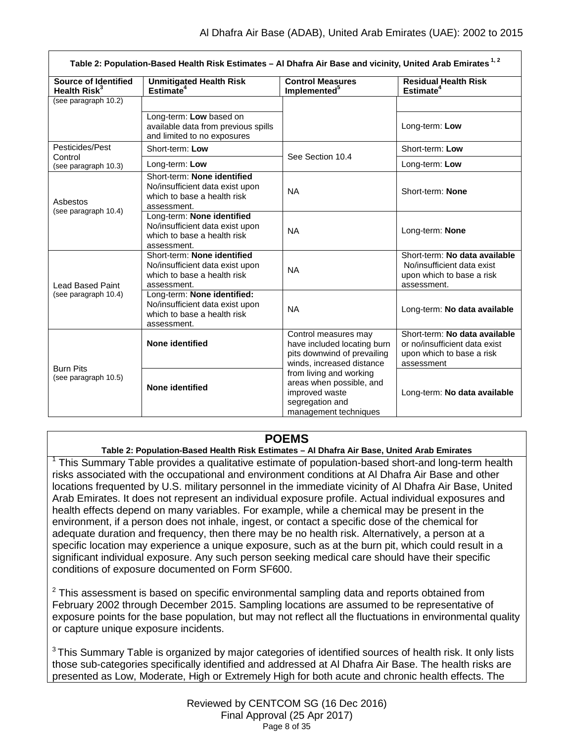|                                                         | Table 2: Population-Based Health Risk Estimates - Al Dhafra Air Base and vicinity, United Arab Emirates <sup>1,2</sup> |                                                                                                                   |                                                                                                           |
|---------------------------------------------------------|------------------------------------------------------------------------------------------------------------------------|-------------------------------------------------------------------------------------------------------------------|-----------------------------------------------------------------------------------------------------------|
| <b>Source of Identified</b><br>Health Risk <sup>3</sup> | <b>Unmitigated Health Risk</b><br>Estimate $4$                                                                         | <b>Control Measures</b><br>Implemented <sup>5</sup>                                                               | <b>Residual Health Risk</b><br>Estimate <sup>4</sup>                                                      |
| (see paragraph 10.2)                                    |                                                                                                                        |                                                                                                                   |                                                                                                           |
|                                                         | Long-term: Low based on<br>available data from previous spills<br>and limited to no exposures                          |                                                                                                                   | Long-term: Low                                                                                            |
| Pesticides/Pest                                         | Short-term: Low                                                                                                        | See Section 10.4                                                                                                  | Short-term: Low                                                                                           |
| Control<br>Long-term: Low<br>(see paragraph 10.3)       |                                                                                                                        |                                                                                                                   | Long-term: Low                                                                                            |
| Asbestos                                                | Short-term: None identified<br>No/insufficient data exist upon<br>which to base a health risk<br>assessment.           | <b>NA</b>                                                                                                         | Short-term: None                                                                                          |
| (see paragraph 10.4)                                    | Long-term: None identified<br>No/insufficient data exist upon<br>which to base a health risk<br>assessment.            | <b>NA</b>                                                                                                         | Long-term: None                                                                                           |
| <b>Lead Based Paint</b>                                 | Short-term: None identified<br>No/insufficient data exist upon<br>which to base a health risk<br>assessment.           | <b>NA</b>                                                                                                         | Short-term: No data available<br>No/insufficient data exist<br>upon which to base a risk<br>assessment.   |
| (see paragraph 10.4)                                    | Long-term: None identified:<br>No/insufficient data exist upon<br>which to base a health risk<br>assessment.           | <b>NA</b>                                                                                                         | Long-term: No data available                                                                              |
|                                                         | None identified                                                                                                        | Control measures may<br>have included locating burn<br>pits downwind of prevailing<br>winds, increased distance   | Short-term: No data available<br>or no/insufficient data exist<br>upon which to base a risk<br>assessment |
| <b>Burn Pits</b><br>(see paragraph 10.5)                | None identified                                                                                                        | from living and working<br>areas when possible, and<br>improved waste<br>segregation and<br>management techniques | Long-term: No data available                                                                              |

## **POEMS**

**Table 2: Population-Based Health Risk Estimates – Al Dhafra Air Base, United Arab Emirates**

 $1$  This Summary Table provides a qualitative estimate of population-based short-and long-term health risks associated with the occupational and environment conditions at Al Dhafra Air Base and other locations frequented by U.S. military personnel in the immediate vicinity of Al Dhafra Air Base, United Arab Emirates. It does not represent an individual exposure profile. Actual individual exposures and health effects depend on many variables. For example, while a chemical may be present in the environment, if a person does not inhale, ingest, or contact a specific dose of the chemical for adequate duration and frequency, then there may be no health risk. Alternatively, a person at a specific location may experience a unique exposure, such as at the burn pit, which could result in a significant individual exposure. Any such person seeking medical care should have their specific conditions of exposure documented on Form SF600.

 $2$  This assessment is based on specific environmental sampling data and reports obtained from February 2002 through December 2015. Sampling locations are assumed to be representative of exposure points for the base population, but may not reflect all the fluctuations in environmental quality or capture unique exposure incidents.

 $3$ This Summary Table is organized by major categories of identified sources of health risk. It only lists those sub-categories specifically identified and addressed at Al Dhafra Air Base. The health risks are presented as Low, Moderate, High or Extremely High for both acute and chronic health effects. The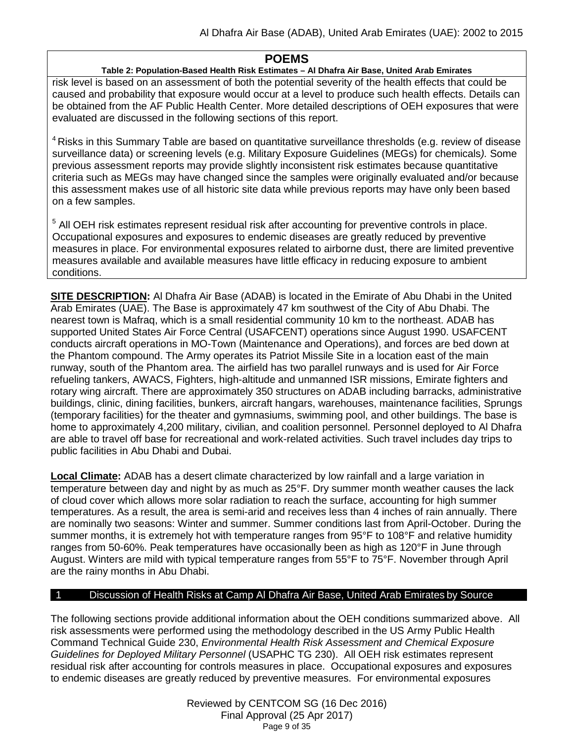## **POEMS**

## **Table 2: Population-Based Health Risk Estimates – Al Dhafra Air Base, United Arab Emirates**

risk level is based on an assessment of both the potential severity of the health effects that could be caused and probability that exposure would occur at a level to produce such health effects. Details can be obtained from the AF Public Health Center. More detailed descriptions of OEH exposures that were evaluated are discussed in the following sections of this report.

<sup>4</sup> Risks in this Summary Table are based on quantitative surveillance thresholds (e.g. review of disease surveillance data) or screening levels (e.g. Military Exposure Guidelines (MEGs) for chemicals*).* Some previous assessment reports may provide slightly inconsistent risk estimates because quantitative criteria such as MEGs may have changed since the samples were originally evaluated and/or because this assessment makes use of all historic site data while previous reports may have only been based on a few samples.

<sup>5</sup> All OEH risk estimates represent residual risk after accounting for preventive controls in place. Occupational exposures and exposures to endemic diseases are greatly reduced by preventive measures in place. For environmental exposures related to airborne dust, there are limited preventive measures available and available measures have little efficacy in reducing exposure to ambient conditions.

**SITE DESCRIPTION:** Al Dhafra Air Base (ADAB) is located in the Emirate of Abu Dhabi in the United Arab Emirates (UAE). The Base is approximately 47 km southwest of the City of Abu Dhabi. The nearest town is Mafraq, which is a small residential community 10 km to the northeast. ADAB has supported United States Air Force Central (USAFCENT) operations since August 1990. USAFCENT conducts aircraft operations in MO-Town (Maintenance and Operations), and forces are bed down at the Phantom compound. The Army operates its Patriot Missile Site in a location east of the main runway, south of the Phantom area. The airfield has two parallel runways and is used for Air Force refueling tankers, AWACS, Fighters, high-altitude and unmanned ISR missions, Emirate fighters and rotary wing aircraft. There are approximately 350 structures on ADAB including barracks, administrative buildings, clinic, dining facilities, bunkers, aircraft hangars, warehouses, maintenance facilities, Sprungs (temporary facilities) for the theater and gymnasiums, swimming pool, and other buildings. The base is home to approximately 4,200 military, civilian, and coalition personnel. Personnel deployed to Al Dhafra are able to travel off base for recreational and work-related activities. Such travel includes day trips to public facilities in Abu Dhabi and Dubai.

**Local Climate:** ADAB has a desert climate characterized by low rainfall and a large variation in temperature between day and night by as much as 25°F. Dry summer month weather causes the lack of cloud cover which allows more solar radiation to reach the surface, accounting for high summer temperatures. As a result, the area is semi-arid and receives less than 4 inches of rain annually. There are nominally two seasons: Winter and summer. Summer conditions last from April-October. During the summer months, it is extremely hot with temperature ranges from 95°F to 108°F and relative humidity ranges from 50-60%. Peak temperatures have occasionally been as high as 120°F in June through August. Winters are mild with typical temperature ranges from 55°F to 75°F. November through April are the rainy months in Abu Dhabi.

## 1 Discussion of Health Risks at Camp Al Dhafra Air Base, United Arab Emirates by Source

The following sections provide additional information about the OEH conditions summarized above. All risk assessments were performed using the methodology described in the US Army Public Health Command Technical Guide 230, *Environmental Health Risk Assessment and Chemical Exposure Guidelines for Deployed Military Personnel* (USAPHC TG 230). All OEH risk estimates represent residual risk after accounting for controls measures in place. Occupational exposures and exposures to endemic diseases are greatly reduced by preventive measures. For environmental exposures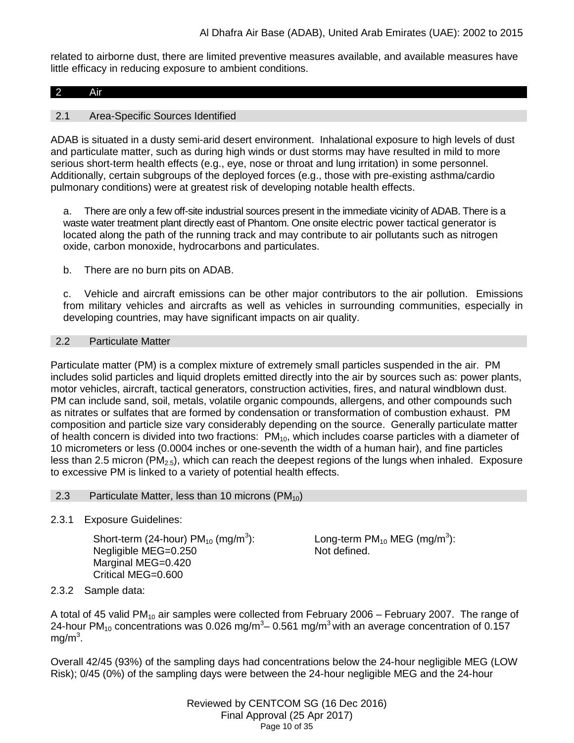related to airborne dust, there are limited preventive measures available, and available measures have little efficacy in reducing exposure to ambient conditions.

### 2 Air

### 2.1 Area-Specific Sources Identified

ADAB is situated in a dusty semi-arid desert environment. Inhalational exposure to high levels of dust and particulate matter, such as during high winds or dust storms may have resulted in mild to more serious short-term health effects (e.g., eye, nose or throat and lung irritation) in some personnel. Additionally, certain subgroups of the deployed forces (e.g., those with pre-existing asthma/cardio pulmonary conditions) were at greatest risk of developing notable health effects.

a. There are only a few off-site industrial sources present in the immediate vicinity of ADAB. There is a waste water treatment plant directly east of Phantom. One onsite electric power tactical generator is located along the path of the running track and may contribute to air pollutants such as nitrogen oxide, carbon monoxide, hydrocarbons and particulates.

b. There are no burn pits on ADAB.

c. Vehicle and aircraft emissions can be other major contributors to the air pollution. Emissions from military vehicles and aircrafts as well as vehicles in surrounding communities, especially in developing countries, may have significant impacts on air quality.

#### 2.2 Particulate Matter

Particulate matter (PM) is a complex mixture of extremely small particles suspended in the air. PM includes solid particles and liquid droplets emitted directly into the air by sources such as: power plants, motor vehicles, aircraft, tactical generators, construction activities, fires, and natural windblown dust. PM can include sand, soil, metals, volatile organic compounds, allergens, and other compounds such as nitrates or sulfates that are formed by condensation or transformation of combustion exhaust. PM composition and particle size vary considerably depending on the source. Generally particulate matter of health concern is divided into two fractions: PM<sub>10</sub>, which includes coarse particles with a diameter of 10 micrometers or less (0.0004 inches or one-seventh the width of a human hair), and fine particles less than 2.5 micron (PM<sub>2.5</sub>), which can reach the deepest regions of the lungs when inhaled. Exposure to excessive PM is linked to a variety of potential health effects.

#### 2.3 Particulate Matter, less than 10 microns  $(PM_{10})$

2.3.1 Exposure Guidelines:

<span id="page-9-0"></span>Short-term (24-hour)  $PM_{10}$  (mg/m<sup>3</sup>): Negligible MEG=0.250 Marginal MEG=0.420 Critical MEG=0.600

Long-term PM $_{10}$  MEG (mg/m $^3$ ): Not defined.

## 2.3.2 Sample data:

A total of 45 valid PM<sub>10</sub> air samples were collected from February 2006 – February 2007. The range of 24-hour PM<sub>10</sub> concentrations was 0.026 mg/m<sup>3</sup>– 0.561 mg/m<sup>3</sup> with an average concentration of 0.157 mg/m $^3$ .

Overall 42/45 (93%) of the sampling days had concentrations below the 24-hour negligible MEG (LOW Risk); 0/45 (0%) of the sampling days were between the 24-hour negligible MEG and the 24-hour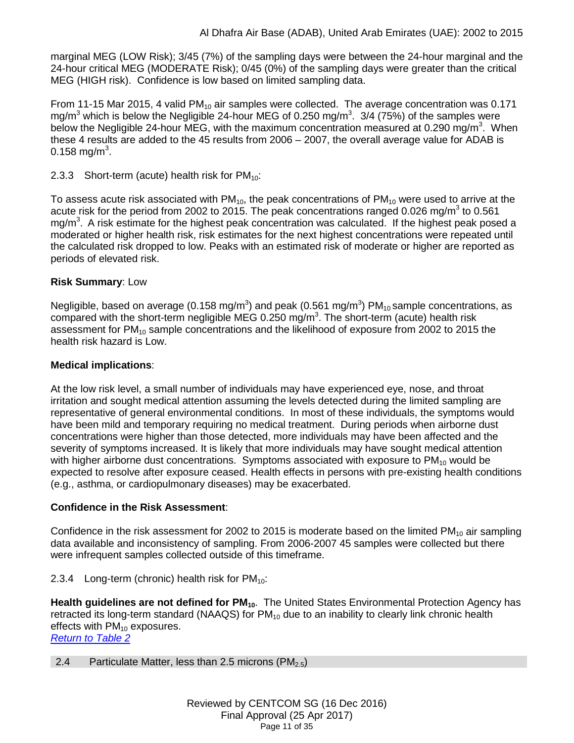marginal MEG (LOW Risk); 3/45 (7%) of the sampling days were between the 24-hour marginal and the 24-hour critical MEG (MODERATE Risk); 0/45 (0%) of the sampling days were greater than the critical MEG (HIGH risk). Confidence is low based on limited sampling data.

From 11-15 Mar 2015, 4 valid PM<sub>10</sub> air samples were collected. The average concentration was 0.171 mg/m<sup>3</sup> which is below the Negligible 24-hour MEG of 0.250 mg/m<sup>3</sup>. 3/4 (75%) of the samples were below the Negligible 24-hour MEG, with the maximum concentration measured at 0.290 mg/m<sup>3</sup>. When these 4 results are added to the 45 results from 2006 – 2007, the overall average value for ADAB is 0.158 mg/m $^3$ .

2.3.3 Short-term (acute) health risk for  $PM_{10}$ :

To assess acute risk associated with  $PM_{10}$ , the peak concentrations of  $PM_{10}$  were used to arrive at the acute risk for the period from 2002 to 2015. The peak concentrations ranged 0.026 mg/m<sup>3</sup> to 0.561 mg/m<sup>3</sup>. A risk estimate for the highest peak concentration was calculated. If the highest peak posed a moderated or higher health risk, risk estimates for the next highest concentrations were repeated until the calculated risk dropped to low. Peaks with an estimated risk of moderate or higher are reported as periods of elevated risk.

## **Risk Summary**: Low

Negligible, based on average (0.158 mg/m<sup>3</sup>) and peak (0.561 mg/m<sup>3</sup>) PM<sub>10</sub> sample concentrations, as compared with the short-term negligible MEG 0.250 mg/m<sup>3</sup>. The short-term (acute) health risk assessment for PM<sub>10</sub> sample concentrations and the likelihood of exposure from 2002 to 2015 the health risk hazard is Low.

## **Medical implications**:

At the low risk level, a small number of individuals may have experienced eye, nose, and throat irritation and sought medical attention assuming the levels detected during the limited sampling are representative of general environmental conditions. In most of these individuals, the symptoms would have been mild and temporary requiring no medical treatment. During periods when airborne dust concentrations were higher than those detected, more individuals may have been affected and the severity of symptoms increased. It is likely that more individuals may have sought medical attention with higher airborne dust concentrations. Symptoms associated with exposure to  $PM_{10}$  would be expected to resolve after exposure ceased. Health effects in persons with pre-existing health conditions (e.g., asthma, or cardiopulmonary diseases) may be exacerbated.

## **Confidence in the Risk Assessment**:

Confidence in the risk assessment for 2002 to 2015 is moderate based on the limited  $PM_{10}$  air sampling data available and inconsistency of sampling. From 2006-2007 45 samples were collected but there were infrequent samples collected outside of this timeframe.

## 2.3.4 Long-term (chronic) health risk for  $PM_{10}$ :

Health guidelines are not defined for PM<sub>10</sub>. The United States Environmental Protection Agency has retracted its long-term standard (NAAQS) for PM<sub>10</sub> due to an inability to clearly link chronic health effects with  $PM_{10}$  exposures.

*[Return to Table 2](#page-2-0)*

## <span id="page-10-0"></span>2.4 Particulate Matter, less than 2.5 microns (PM<sub>2.5</sub>)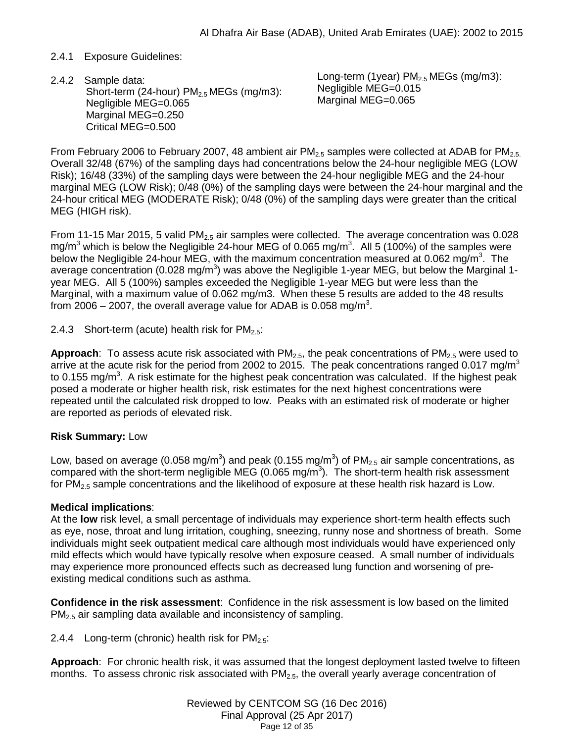## 2.4.1 Exposure Guidelines:

Short-term (24-hour)  $PM<sub>2.5</sub> MEGs$  (mg/m3): Negligible MEG=0.065 Marginal MEG=0.250 Critical MEG=0.500 2.4.2 Sample data:

Long-term (1year)  $PM<sub>2.5</sub> MEGs$  (mg/m3): Negligible MEG=0.015 Marginal MEG=0.065

From February 2006 to February 2007, 48 ambient air  $PM_{2.5}$  samples were collected at ADAB for  $PM_{2.5}$ . Overall 32/48 (67%) of the sampling days had concentrations below the 24-hour negligible MEG (LOW Risk); 16/48 (33%) of the sampling days were between the 24-hour negligible MEG and the 24-hour marginal MEG (LOW Risk); 0/48 (0%) of the sampling days were between the 24-hour marginal and the 24-hour critical MEG (MODERATE Risk); 0/48 (0%) of the sampling days were greater than the critical MEG (HIGH risk).

From 11-15 Mar 2015, 5 valid PM<sub>2.5</sub> air samples were collected. The average concentration was 0.028 mg/m<sup>3</sup> which is below the Negligible 24-hour MEG of 0.065 mg/m<sup>3</sup>. All 5 (100%) of the samples were below the Negligible 24-hour MEG, with the maximum concentration measured at 0.062 mg/m<sup>3</sup>. The average concentration (0.028 mg/m<sup>3</sup>) was above the Negligible 1-year MEG, but below the Marginal 1year MEG. All 5 (100%) samples exceeded the Negligible 1-year MEG but were less than the Marginal, with a maximum value of 0.062 mg/m3. When these 5 results are added to the 48 results from 2006 – 2007, the overall average value for ADAB is 0.058 mg/m<sup>3</sup>.

2.4.3 Short-term (acute) health risk for  $PM_{2.5}$ :

**Approach**: To assess acute risk associated with  $PM_{2.5}$ , the peak concentrations of  $PM_{2.5}$  were used to arrive at the acute risk for the period from 2002 to 2015. The peak concentrations ranged 0.017 mg/m<sup>3</sup> to 0.155 mg/m<sup>3</sup>. A risk estimate for the highest peak concentration was calculated. If the highest peak posed a moderate or higher health risk, risk estimates for the next highest concentrations were repeated until the calculated risk dropped to low. Peaks with an estimated risk of moderate or higher are reported as periods of elevated risk.

## **Risk Summary:** Low

Low, based on average (0.058 mg/m $^3$ ) and peak (0.155 mg/m $^3$ ) of PM<sub>2.5</sub> air sample concentrations, as compared with the short-term negligible MEG (0.065 mg/m<sup>3</sup>). The short-term health risk assessment for  $PM_{2.5}$  sample concentrations and the likelihood of exposure at these health risk hazard is Low.

## **Medical implications**:

At the **low** risk level, a small percentage of individuals may experience short-term health effects such as eye, nose, throat and lung irritation, coughing, sneezing, runny nose and shortness of breath. Some individuals might seek outpatient medical care although most individuals would have experienced only mild effects which would have typically resolve when exposure ceased. A small number of individuals may experience more pronounced effects such as decreased lung function and worsening of preexisting medical conditions such as asthma.

**Confidence in the risk assessment**: Confidence in the risk assessment is low based on the limited PM2.5 air sampling data available and inconsistency of sampling.

2.4.4 Long-term (chronic) health risk for  $PM_{2.5}$ :

**Approach**: For chronic health risk, it was assumed that the longest deployment lasted twelve to fifteen months. To assess chronic risk associated with  $PM<sub>2.5</sub>$ , the overall yearly average concentration of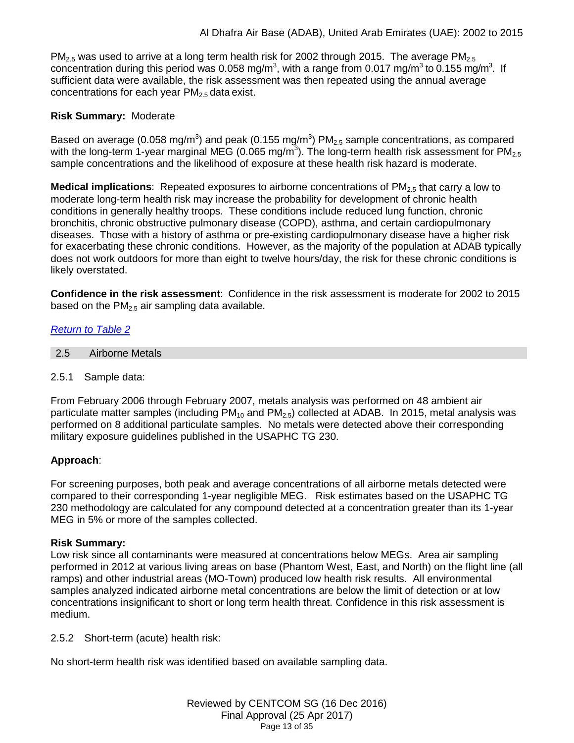$PM_{2.5}$  was used to arrive at a long term health risk for 2002 through 2015. The average PM<sub>2.5</sub> concentration during this period was 0.058 mg/m<sup>3</sup>, with a range from 0.017 mg/m<sup>3</sup> to 0.155 mg/m<sup>3</sup>. If sufficient data were available, the risk assessment was then repeated using the annual average concentrations for each year  $PM<sub>2.5</sub>$  data exist.

## **Risk Summary:** Moderate

Based on average (0.058 mg/m<sup>3</sup>) and peak (0.155 mg/m<sup>3</sup>) PM<sub>2.5</sub> sample concentrations, as compared with the long-term 1-year marginal MEG (0.065 mg/m<sup>3</sup>). The long-term health risk assessment for PM<sub>2.5</sub> sample concentrations and the likelihood of exposure at these health risk hazard is moderate.

**Medical implications**: Repeated exposures to airborne concentrations of PM<sub>2.5</sub> that carry a low to moderate long-term health risk may increase the probability for development of chronic health conditions in generally healthy troops. These conditions include reduced lung function, chronic bronchitis, chronic obstructive pulmonary disease (COPD), asthma, and certain cardiopulmonary diseases. Those with a history of asthma or pre-existing cardiopulmonary disease have a higher risk for exacerbating these chronic conditions. However, as the majority of the population at ADAB typically does not work outdoors for more than eight to twelve hours/day, the risk for these chronic conditions is likely overstated.

**Confidence in the risk assessment**: Confidence in the risk assessment is moderate for 2002 to 2015 based on the  $PM<sub>2.5</sub>$  air sampling data available.

## *[Return to Table 2](#page-2-0)*

- <span id="page-12-0"></span>2.5 Airborne Metals
- 2.5.1 Sample data:

From February 2006 through February 2007, metals analysis was performed on 48 ambient air particulate matter samples (including  $PM_{10}$  and  $PM_{2.5}$ ) collected at ADAB. In 2015, metal analysis was performed on 8 additional particulate samples. No metals were detected above their corresponding military exposure guidelines published in the USAPHC TG 230.

## **Approach**:

For screening purposes, both peak and average concentrations of all airborne metals detected were compared to their corresponding 1-year negligible MEG. Risk estimates based on the USAPHC TG 230 methodology are calculated for any compound detected at a concentration greater than its 1-year MEG in 5% or more of the samples collected.

## **Risk Summary:**

Low risk since all contaminants were measured at concentrations below MEGs. Area air sampling performed in 2012 at various living areas on base (Phantom West, East, and North) on the flight line (all ramps) and other industrial areas (MO-Town) produced low health risk results. All environmental samples analyzed indicated airborne metal concentrations are below the limit of detection or at low concentrations insignificant to short or long term health threat. Confidence in this risk assessment is medium.

2.5.2 Short-term (acute) health risk:

No short-term health risk was identified based on available sampling data.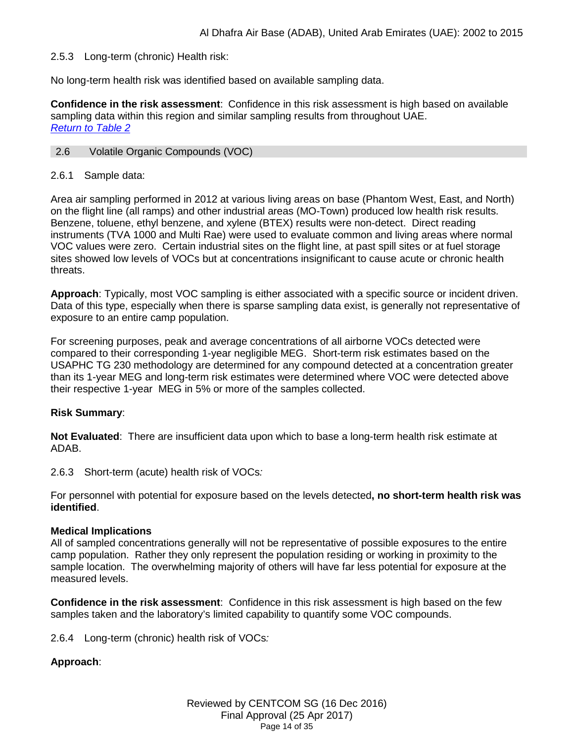## 2.5.3 Long-term (chronic) Health risk:

No long-term health risk was identified based on available sampling data.

**Confidence in the risk assessment**: Confidence in this risk assessment is high based on available sampling data within this region and similar sampling results from throughout UAE. *[Return to Table 2](#page-2-1)*

#### <span id="page-13-0"></span>2.6 Volatile Organic Compounds (VOC)

### 2.6.1 Sample data:

Area air sampling performed in 2012 at various living areas on base (Phantom West, East, and North) on the flight line (all ramps) and other industrial areas (MO-Town) produced low health risk results. Benzene, toluene, ethyl benzene, and xylene (BTEX) results were non-detect. Direct reading instruments (TVA 1000 and Multi Rae) were used to evaluate common and living areas where normal VOC values were zero. Certain industrial sites on the flight line, at past spill sites or at fuel storage sites showed low levels of VOCs but at concentrations insignificant to cause acute or chronic health threats.

**Approach**: Typically, most VOC sampling is either associated with a specific source or incident driven. Data of this type, especially when there is sparse sampling data exist, is generally not representative of exposure to an entire camp population.

For screening purposes, peak and average concentrations of all airborne VOCs detected were compared to their corresponding 1-year negligible MEG. Short-term risk estimates based on the USAPHC TG 230 methodology are determined for any compound detected at a concentration greater than its 1-year MEG and long-term risk estimates were determined where VOC were detected above their respective 1-year MEG in 5% or more of the samples collected.

## **Risk Summary**:

**Not Evaluated**: There are insufficient data upon which to base a long-term health risk estimate at ADAB.

2.6.3 Short-term (acute) health risk of VOCs*:* 

For personnel with potential for exposure based on the levels detected**, no short-term health risk was identified**.

#### **Medical Implications**

All of sampled concentrations generally will not be representative of possible exposures to the entire camp population. Rather they only represent the population residing or working in proximity to the sample location. The overwhelming majority of others will have far less potential for exposure at the measured levels.

**Confidence in the risk assessment**: Confidence in this risk assessment is high based on the few samples taken and the laboratory's limited capability to quantify some VOC compounds.

2.6.4 Long-term (chronic) health risk of VOCs*:* 

## **Approach**: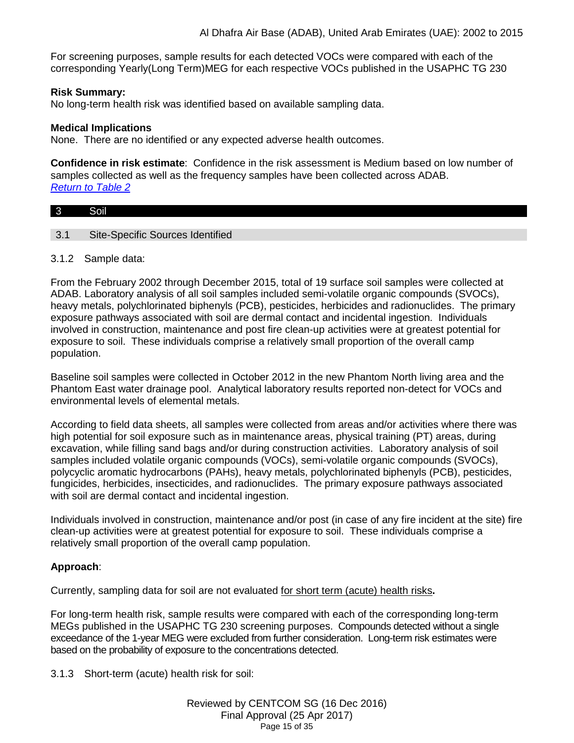For screening purposes, sample results for each detected VOCs were compared with each of the corresponding Yearly(Long Term)MEG for each respective VOCs published in the USAPHC TG 230

## **Risk Summary:**

No long-term health risk was identified based on available sampling data.

#### **Medical Implications**

None. There are no identified or any expected adverse health outcomes.

**Confidence in risk estimate**: Confidence in the risk assessment is Medium based on low number of samples collected as well as the frequency samples have been collected across ADAB. *[Return to Table 2](#page-3-0)*

<span id="page-14-0"></span>

| $\overline{3}$            | Soil                             |
|---------------------------|----------------------------------|
|                           |                                  |
| $\Omega$ 1<br><u>ง. เ</u> | Site-Specific Sources Identified |

### 3.1.2 Sample data:

From the February 2002 through December 2015, total of 19 surface soil samples were collected at ADAB. Laboratory analysis of all soil samples included semi-volatile organic compounds (SVOCs), heavy metals, polychlorinated biphenyls (PCB), pesticides, herbicides and radionuclides. The primary exposure pathways associated with soil are dermal contact and incidental ingestion. Individuals involved in construction, maintenance and post fire clean-up activities were at greatest potential for exposure to soil. These individuals comprise a relatively small proportion of the overall camp population.

Baseline soil samples were collected in October 2012 in the new Phantom North living area and the Phantom East water drainage pool. Analytical laboratory results reported non-detect for VOCs and environmental levels of elemental metals.

According to field data sheets, all samples were collected from areas and/or activities where there was high potential for soil exposure such as in maintenance areas, physical training (PT) areas, during excavation, while filling sand bags and/or during construction activities. Laboratory analysis of soil samples included volatile organic compounds (VOCs), semi-volatile organic compounds (SVOCs), polycyclic aromatic hydrocarbons (PAHs), heavy metals, polychlorinated biphenyls (PCB), pesticides, fungicides, herbicides, insecticides, and radionuclides. The primary exposure pathways associated with soil are dermal contact and incidental ingestion.

Individuals involved in construction, maintenance and/or post (in case of any fire incident at the site) fire clean-up activities were at greatest potential for exposure to soil. These individuals comprise a relatively small proportion of the overall camp population.

## **Approach**:

Currently, sampling data for soil are not evaluated for short term (acute) health risks**.**

For long-term health risk, sample results were compared with each of the corresponding long-term MEGs published in the USAPHC TG 230 screening purposes. Compounds detected without a single exceedance of the 1-year MEG were excluded from further consideration. Long-term risk estimates were based on the probability of exposure to the concentrations detected.

3.1.3 Short-term (acute) health risk for soil: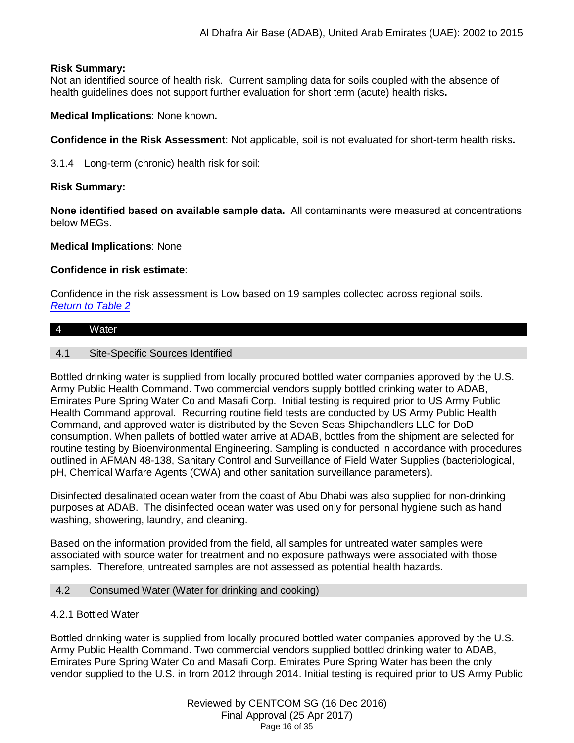## **Risk Summary:**

Not an identified source of health risk. Current sampling data for soils coupled with the absence of health guidelines does not support further evaluation for short term (acute) health risks**.**

**Medical Implications**: None known**.**

**Confidence in the Risk Assessment**: Not applicable, soil is not evaluated for short-term health risks**.**

3.1.4 Long-term (chronic) health risk for soil:

## **Risk Summary:**

**None identified based on available sample data.** All contaminants were measured at concentrations below MEGs.

**Medical Implications**: None

## **Confidence in risk estimate**:

Confidence in the risk assessment is Low based on 19 samples collected across regional soils. *[Return to Table 2](#page-3-1)*

# <span id="page-15-0"></span>4 Water

## 4.1 Site-Specific Sources Identified

Bottled drinking water is supplied from locally procured bottled water companies approved by the U.S. Army Public Health Command. Two commercial vendors supply bottled drinking water to ADAB, Emirates Pure Spring Water Co and Masafi Corp. Initial testing is required prior to US Army Public Health Command approval. Recurring routine field tests are conducted by US Army Public Health Command, and approved water is distributed by the Seven Seas Shipchandlers LLC for DoD consumption. When pallets of bottled water arrive at ADAB, bottles from the shipment are selected for routine testing by Bioenvironmental Engineering. Sampling is conducted in accordance with procedures outlined in AFMAN 48-138, Sanitary Control and Surveillance of Field Water Supplies (bacteriological, pH, Chemical Warfare Agents (CWA) and other sanitation surveillance parameters).

Disinfected desalinated ocean water from the coast of Abu Dhabi was also supplied for non-drinking purposes at ADAB. The disinfected ocean water was used only for personal hygiene such as hand washing, showering, laundry, and cleaning.

Based on the information provided from the field, all samples for untreated water samples were associated with source water for treatment and no exposure pathways were associated with those samples. Therefore, untreated samples are not assessed as potential health hazards.

## <span id="page-15-1"></span>4.2 Consumed Water (Water for drinking and cooking)

## 4.2.1 Bottled Water

Bottled drinking water is supplied from locally procured bottled water companies approved by the U.S. Army Public Health Command. Two commercial vendors supplied bottled drinking water to ADAB, Emirates Pure Spring Water Co and Masafi Corp. Emirates Pure Spring Water has been the only vendor supplied to the U.S. in from 2012 through 2014. Initial testing is required prior to US Army Public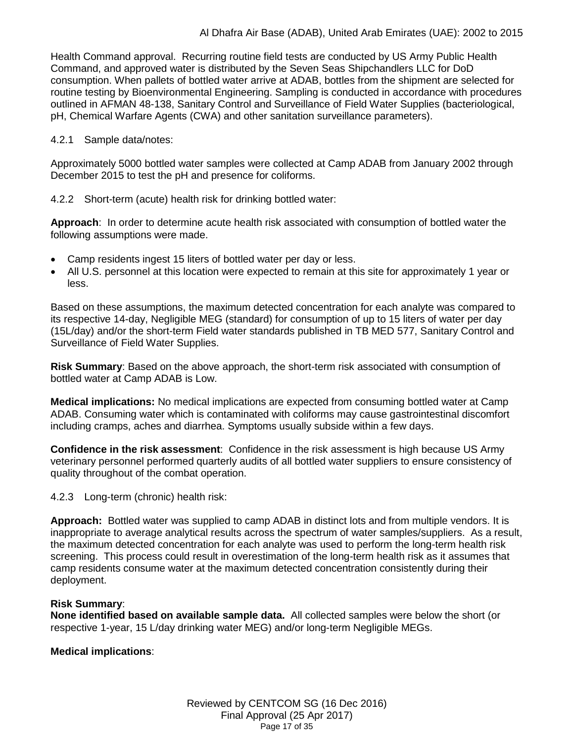Health Command approval. Recurring routine field tests are conducted by US Army Public Health Command, and approved water is distributed by the Seven Seas Shipchandlers LLC for DoD consumption. When pallets of bottled water arrive at ADAB, bottles from the shipment are selected for routine testing by Bioenvironmental Engineering. Sampling is conducted in accordance with procedures outlined in AFMAN 48-138, Sanitary Control and Surveillance of Field Water Supplies (bacteriological, pH, Chemical Warfare Agents (CWA) and other sanitation surveillance parameters).

### 4.2.1 Sample data/notes:

Approximately 5000 bottled water samples were collected at Camp ADAB from January 2002 through December 2015 to test the pH and presence for coliforms.

## 4.2.2 Short-term (acute) health risk for drinking bottled water:

**Approach**: In order to determine acute health risk associated with consumption of bottled water the following assumptions were made.

- Camp residents ingest 15 liters of bottled water per day or less.
- All U.S. personnel at this location were expected to remain at this site for approximately 1 year or less.

Based on these assumptions, the maximum detected concentration for each analyte was compared to its respective 14-day, Negligible MEG (standard) for consumption of up to 15 liters of water per day (15L/day) and/or the short-term Field water standards published in TB MED 577, Sanitary Control and Surveillance of Field Water Supplies.

**Risk Summary**: Based on the above approach, the short-term risk associated with consumption of bottled water at Camp ADAB is Low.

**Medical implications:** No medical implications are expected from consuming bottled water at Camp ADAB. Consuming water which is contaminated with coliforms may cause gastrointestinal discomfort including cramps, aches and diarrhea. Symptoms usually subside within a few days.

**Confidence in the risk assessment**: Confidence in the risk assessment is high because US Army veterinary personnel performed quarterly audits of all bottled water suppliers to ensure consistency of quality throughout of the combat operation.

## 4.2.3 Long-term (chronic) health risk:

**Approach:** Bottled water was supplied to camp ADAB in distinct lots and from multiple vendors. It is inappropriate to average analytical results across the spectrum of water samples/suppliers. As a result, the maximum detected concentration for each analyte was used to perform the long-term health risk screening. This process could result in overestimation of the long-term health risk as it assumes that camp residents consume water at the maximum detected concentration consistently during their deployment.

## **Risk Summary**:

**None identified based on available sample data.** All collected samples were below the short (or respective 1-year, 15 L/day drinking water MEG) and/or long-term Negligible MEGs.

## **Medical implications**: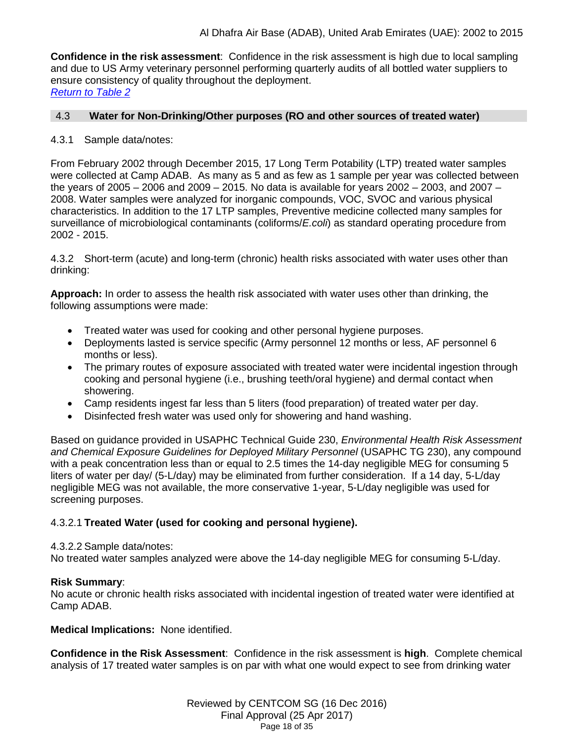**Confidence in the risk assessment**: Confidence in the risk assessment is high due to local sampling and due to US Army veterinary personnel performing quarterly audits of all bottled water suppliers to ensure consistency of quality throughout the deployment. *[Return to Table 2](#page-3-2)*

## <span id="page-17-0"></span>4.3 **Water for Non-Drinking/Other purposes (RO and other sources of treated water)**

## 4.3.1 Sample data/notes:

From February 2002 through December 2015, 17 Long Term Potability (LTP) treated water samples were collected at Camp ADAB. As many as 5 and as few as 1 sample per year was collected between the years of 2005 – 2006 and 2009 – 2015. No data is available for years 2002 – 2003, and 2007 – 2008. Water samples were analyzed for inorganic compounds, VOC, SVOC and various physical characteristics. In addition to the 17 LTP samples, Preventive medicine collected many samples for surveillance of microbiological contaminants (coliforms/*E.coli*) as standard operating procedure from 2002 - 2015.

4.3.2 Short-term (acute) and long-term (chronic) health risks associated with water uses other than drinking:

**Approach:** In order to assess the health risk associated with water uses other than drinking, the following assumptions were made:

- Treated water was used for cooking and other personal hygiene purposes.
- Deployments lasted is service specific (Army personnel 12 months or less, AF personnel 6 months or less).
- The primary routes of exposure associated with treated water were incidental ingestion through cooking and personal hygiene (i.e., brushing teeth/oral hygiene) and dermal contact when showering.
- Camp residents ingest far less than 5 liters (food preparation) of treated water per day.
- Disinfected fresh water was used only for showering and hand washing.

Based on guidance provided in USAPHC Technical Guide 230, *Environmental Health Risk Assessment and Chemical Exposure Guidelines for Deployed Military Personnel* (USAPHC TG 230), any compound with a peak concentration less than or equal to 2.5 times the 14-day negligible MEG for consuming 5 liters of water per day/ (5-L/day) may be eliminated from further consideration. If a 14 day, 5-L/day negligible MEG was not available, the more conservative 1-year, 5-L/day negligible was used for screening purposes.

## 4.3.2.1 **Treated Water (used for cooking and personal hygiene).**

## 4.3.2.2 Sample data/notes:

No treated water samples analyzed were above the 14-day negligible MEG for consuming 5-L/day.

## **Risk Summary**:

No acute or chronic health risks associated with incidental ingestion of treated water were identified at Camp ADAB.

**Medical Implications:** None identified.

**Confidence in the Risk Assessment**: Confidence in the risk assessment is **high**. Complete chemical analysis of 17 treated water samples is on par with what one would expect to see from drinking water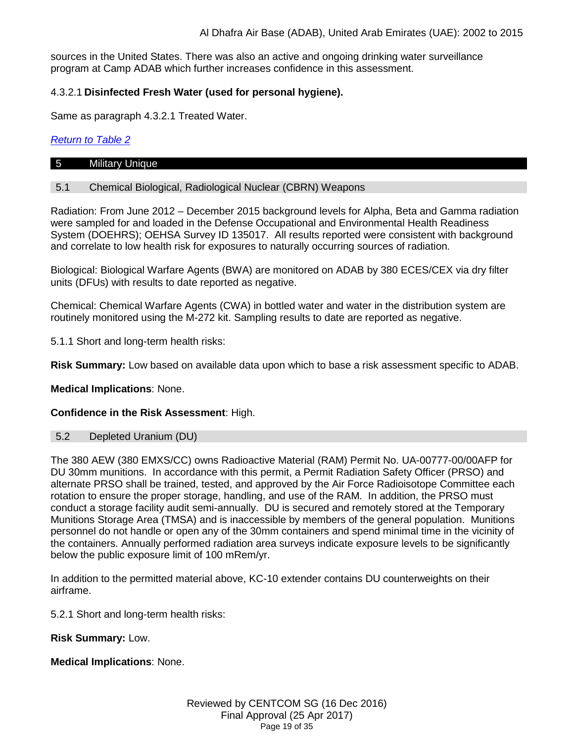sources in the United States. There was also an active and ongoing drinking water surveillance program at Camp ADAB which further increases confidence in this assessment.

## 4.3.2.1 **Disinfected Fresh Water (used for personal hygiene).**

Same as paragraph 4.3.2.1 Treated Water.

## *[Return to Table 2](#page-3-3)*

#### <span id="page-18-0"></span>5 Military Unique

## 5.1 Chemical Biological, Radiological Nuclear (CBRN) Weapons

Radiation: From June 2012 – December 2015 background levels for Alpha, Beta and Gamma radiation were sampled for and loaded in the Defense Occupational and Environmental Health Readiness System (DOEHRS); OEHSA Survey ID 135017. All results reported were consistent with background and correlate to low health risk for exposures to naturally occurring sources of radiation.

Biological: Biological Warfare Agents (BWA) are monitored on ADAB by 380 ECES/CEX via dry filter units (DFUs) with results to date reported as negative.

Chemical: Chemical Warfare Agents (CWA) in bottled water and water in the distribution system are routinely monitored using the M-272 kit. Sampling results to date are reported as negative.

5.1.1 Short and long-term health risks:

**Risk Summary:** Low based on available data upon which to base a risk assessment specific to ADAB.

**Medical Implications**: None.

## **Confidence in the Risk Assessment**: High.

#### 5.2 Depleted Uranium (DU)

The 380 AEW (380 EMXS/CC) owns Radioactive Material (RAM) Permit No. UA-00777-00/00AFP for DU 30mm munitions. In accordance with this permit, a Permit Radiation Safety Officer (PRSO) and alternate PRSO shall be trained, tested, and approved by the Air Force Radioisotope Committee each rotation to ensure the proper storage, handling, and use of the RAM. In addition, the PRSO must conduct a storage facility audit semi-annually. DU is secured and remotely stored at the Temporary Munitions Storage Area (TMSA) and is inaccessible by members of the general population. Munitions personnel do not handle or open any of the 30mm containers and spend minimal time in the vicinity of the containers. Annually performed radiation area surveys indicate exposure levels to be significantly below the public exposure limit of 100 mRem/yr.

In addition to the permitted material above, KC-10 extender contains DU counterweights on their airframe.

5.2.1 Short and long-term health risks:

**Risk Summary:** Low.

**Medical Implications**: None.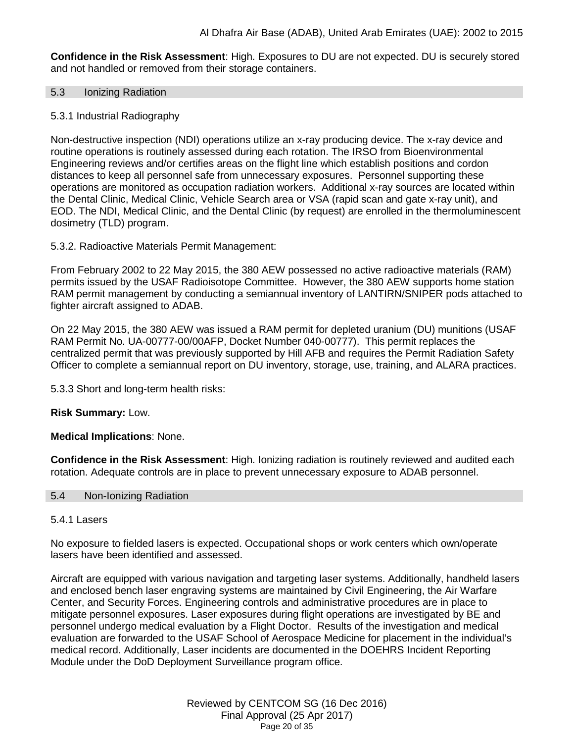**Confidence in the Risk Assessment**: High. Exposures to DU are not expected. DU is securely stored and not handled or removed from their storage containers.

#### 5.3 Ionizing Radiation

#### 5.3.1 Industrial Radiography

Non-destructive inspection (NDI) operations utilize an x-ray producing device. The x-ray device and routine operations is routinely assessed during each rotation. The IRSO from Bioenvironmental Engineering reviews and/or certifies areas on the flight line which establish positions and cordon distances to keep all personnel safe from unnecessary exposures. Personnel supporting these operations are monitored as occupation radiation workers. Additional x-ray sources are located within the Dental Clinic, Medical Clinic, Vehicle Search area or VSA (rapid scan and gate x-ray unit), and EOD. The NDI, Medical Clinic, and the Dental Clinic (by request) are enrolled in the thermoluminescent dosimetry (TLD) program.

5.3.2. Radioactive Materials Permit Management:

From February 2002 to 22 May 2015, the 380 AEW possessed no active radioactive materials (RAM) permits issued by the USAF Radioisotope Committee. However, the 380 AEW supports home station RAM permit management by conducting a semiannual inventory of LANTIRN/SNIPER pods attached to fighter aircraft assigned to ADAB.

On 22 May 2015, the 380 AEW was issued a RAM permit for depleted uranium (DU) munitions (USAF RAM Permit No. UA-00777-00/00AFP, Docket Number 040-00777). This permit replaces the centralized permit that was previously supported by Hill AFB and requires the Permit Radiation Safety Officer to complete a semiannual report on DU inventory, storage, use, training, and ALARA practices.

5.3.3 Short and long-term health risks:

**Risk Summary:** Low.

**Medical Implications**: None.

**Confidence in the Risk Assessment**: High. Ionizing radiation is routinely reviewed and audited each rotation. Adequate controls are in place to prevent unnecessary exposure to ADAB personnel.

#### 5.4 Non-Ionizing Radiation

#### 5.4.1 Lasers

No exposure to fielded lasers is expected. Occupational shops or work centers which own/operate lasers have been identified and assessed.

Aircraft are equipped with various navigation and targeting laser systems. Additionally, handheld lasers and enclosed bench laser engraving systems are maintained by Civil Engineering, the Air Warfare Center, and Security Forces. Engineering controls and administrative procedures are in place to mitigate personnel exposures. Laser exposures during flight operations are investigated by BE and personnel undergo medical evaluation by a Flight Doctor. Results of the investigation and medical evaluation are forwarded to the USAF School of Aerospace Medicine for placement in the individual's medical record. Additionally, Laser incidents are documented in the DOEHRS Incident Reporting Module under the DoD Deployment Surveillance program office.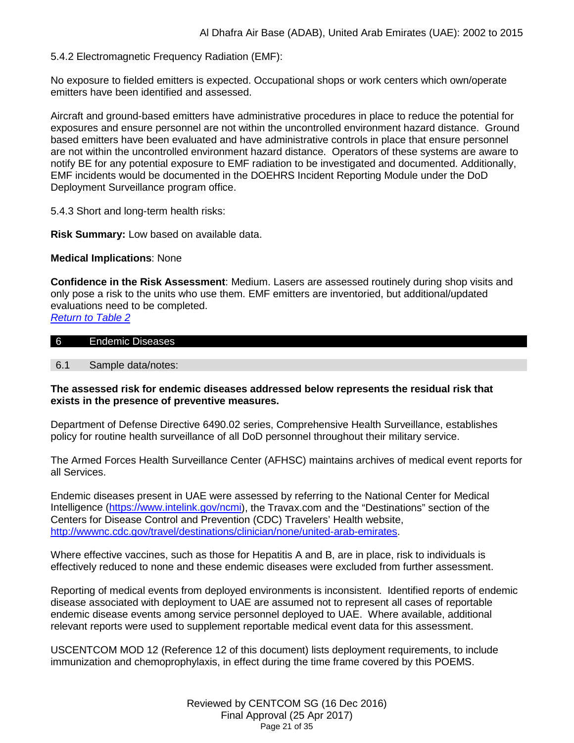5.4.2 Electromagnetic Frequency Radiation (EMF):

No exposure to fielded emitters is expected. Occupational shops or work centers which own/operate emitters have been identified and assessed.

Aircraft and ground-based emitters have administrative procedures in place to reduce the potential for exposures and ensure personnel are not within the uncontrolled environment hazard distance. Ground based emitters have been evaluated and have administrative controls in place that ensure personnel are not within the uncontrolled environment hazard distance. Operators of these systems are aware to notify BE for any potential exposure to EMF radiation to be investigated and documented. Additionally, EMF incidents would be documented in the DOEHRS Incident Reporting Module under the DoD Deployment Surveillance program office.

5.4.3 Short and long-term health risks:

**Risk Summary:** Low based on available data.

**Medical Implications**: None

**Confidence in the Risk Assessment**: Medium. Lasers are assessed routinely during shop visits and only pose a risk to the units who use them. EMF emitters are inventoried, but additional/updated evaluations need to be completed.

*[Return to Table 2](#page-4-0)*

| 6 | Endemic Diseases |  |
|---|------------------|--|

6.1 Sample data/notes:

#### **The assessed risk for endemic diseases addressed below represents the residual risk that exists in the presence of preventive measures.**

Department of Defense Directive 6490.02 series, Comprehensive Health Surveillance, establishes policy for routine health surveillance of all DoD personnel throughout their military service.

The Armed Forces Health Surveillance Center (AFHSC) maintains archives of medical event reports for all Services.

Endemic diseases present in UAE were assessed by referring to the National Center for Medical Intelligence [\(https://www.intelink.gov/ncmi\)](https://www.intelink.gov/ncmi), the Travax.com and the "Destinations" section of the Centers for Disease Control and Prevention (CDC) Travelers' Health website, [http://wwwnc.cdc.gov/travel/destinations/clinician/none/united-arab-emirates.](http://wwwnc.cdc.gov/travel/destinations/clinician/none/united-arab-emirates)

Where effective vaccines, such as those for Hepatitis A and B, are in place, risk to individuals is effectively reduced to none and these endemic diseases were excluded from further assessment.

Reporting of medical events from deployed environments is inconsistent. Identified reports of endemic disease associated with deployment to UAE are assumed not to represent all cases of reportable endemic disease events among service personnel deployed to UAE. Where available, additional relevant reports were used to supplement reportable medical event data for this assessment.

USCENTCOM MOD 12 (Reference 12 of this document) lists deployment requirements, to include immunization and chemoprophylaxis, in effect during the time frame covered by this POEMS.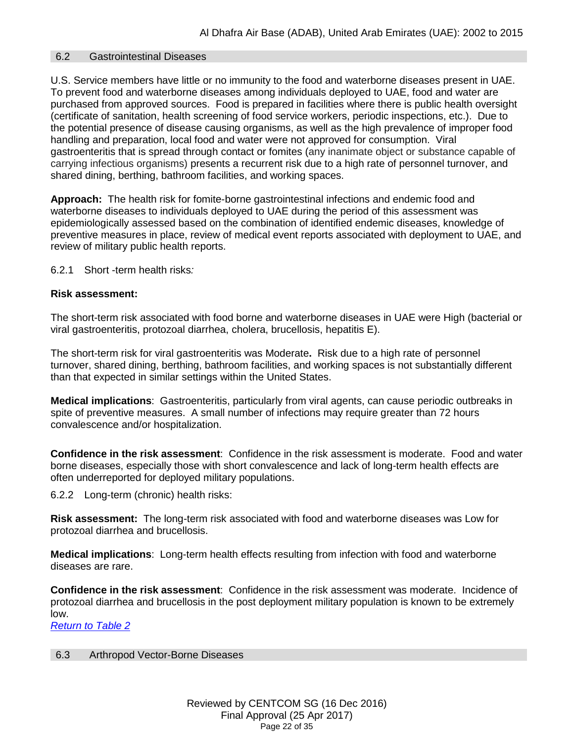#### <span id="page-21-0"></span>6.2 Gastrointestinal Diseases

U.S. Service members have little or no immunity to the food and waterborne diseases present in UAE. To prevent food and waterborne diseases among individuals deployed to UAE, food and water are purchased from approved sources. Food is prepared in facilities where there is public health oversight (certificate of sanitation, health screening of food service workers, periodic inspections, etc.). Due to the potential presence of disease causing organisms, as well as the high prevalence of improper food handling and preparation, local food and water were not approved for consumption. Viral gastroenteritis that is spread through contact or fomites (any inanimate object or substance capable of carrying infectious organisms) presents a recurrent risk due to a high rate of personnel turnover, and shared dining, berthing, bathroom facilities, and working spaces.

**Approach:** The health risk for fomite-borne gastrointestinal infections and endemic food and waterborne diseases to individuals deployed to UAE during the period of this assessment was epidemiologically assessed based on the combination of identified endemic diseases, knowledge of preventive measures in place, review of medical event reports associated with deployment to UAE, and review of military public health reports.

6.2.1 Short -term health risks*:*

### **Risk assessment:**

The short-term risk associated with food borne and waterborne diseases in UAE were High (bacterial or viral gastroenteritis, protozoal diarrhea, cholera, brucellosis, hepatitis E).

The short-term risk for viral gastroenteritis was Moderate**.** Risk due to a high rate of personnel turnover, shared dining, berthing, bathroom facilities, and working spaces is not substantially different than that expected in similar settings within the United States.

**Medical implications**: Gastroenteritis, particularly from viral agents, can cause periodic outbreaks in spite of preventive measures. A small number of infections may require greater than 72 hours convalescence and/or hospitalization.

**Confidence in the risk assessment**: Confidence in the risk assessment is moderate. Food and water borne diseases, especially those with short convalescence and lack of long-term health effects are often underreported for deployed military populations.

6.2.2 Long-term (chronic) health risks:

**Risk assessment:** The long-term risk associated with food and waterborne diseases was Low for protozoal diarrhea and brucellosis.

**Medical implications**: Long-term health effects resulting from infection with food and waterborne diseases are rare.

**Confidence in the risk assessment**: Confidence in the risk assessment was moderate. Incidence of protozoal diarrhea and brucellosis in the post deployment military population is known to be extremely low.

*[Return to Table 2](#page-4-1)*

## <span id="page-21-1"></span>6.3 Arthropod Vector-Borne Diseases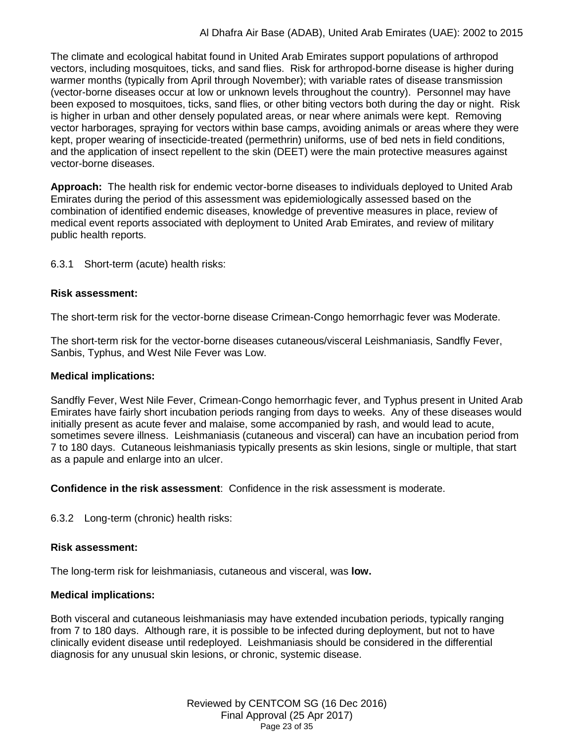The climate and ecological habitat found in United Arab Emirates support populations of arthropod vectors, including mosquitoes, ticks, and sand flies. Risk for arthropod-borne disease is higher during warmer months (typically from April through November); with variable rates of disease transmission (vector-borne diseases occur at low or unknown levels throughout the country). Personnel may have been exposed to mosquitoes, ticks, sand flies, or other biting vectors both during the day or night. Risk is higher in urban and other densely populated areas, or near where animals were kept. Removing vector harborages, spraying for vectors within base camps, avoiding animals or areas where they were kept, proper wearing of insecticide-treated (permethrin) uniforms, use of bed nets in field conditions, and the application of insect repellent to the skin (DEET) were the main protective measures against vector-borne diseases.

**Approach:** The health risk for endemic vector-borne diseases to individuals deployed to United Arab Emirates during the period of this assessment was epidemiologically assessed based on the combination of identified endemic diseases, knowledge of preventive measures in place, review of medical event reports associated with deployment to United Arab Emirates, and review of military public health reports.

6.3.1 Short-term (acute) health risks:

## **Risk assessment:**

The short-term risk for the vector-borne disease Crimean-Congo hemorrhagic fever was Moderate.

The short-term risk for the vector-borne diseases cutaneous/visceral Leishmaniasis, Sandfly Fever, Sanbis, Typhus, and West Nile Fever was Low.

### **Medical implications:**

Sandfly Fever, West Nile Fever, Crimean-Congo hemorrhagic fever, and Typhus present in United Arab Emirates have fairly short incubation periods ranging from days to weeks. Any of these diseases would initially present as acute fever and malaise, some accompanied by rash, and would lead to acute, sometimes severe illness. Leishmaniasis (cutaneous and visceral) can have an incubation period from 7 to 180 days. Cutaneous leishmaniasis typically presents as skin lesions, single or multiple, that start as a papule and enlarge into an ulcer.

**Confidence in the risk assessment**: Confidence in the risk assessment is moderate.

6.3.2 Long-term (chronic) health risks:

## **Risk assessment:**

The long-term risk for leishmaniasis, cutaneous and visceral, was **low.**

#### **Medical implications:**

Both visceral and cutaneous leishmaniasis may have extended incubation periods, typically ranging from 7 to 180 days. Although rare, it is possible to be infected during deployment, but not to have clinically evident disease until redeployed. Leishmaniasis should be considered in the differential diagnosis for any unusual skin lesions, or chronic, systemic disease.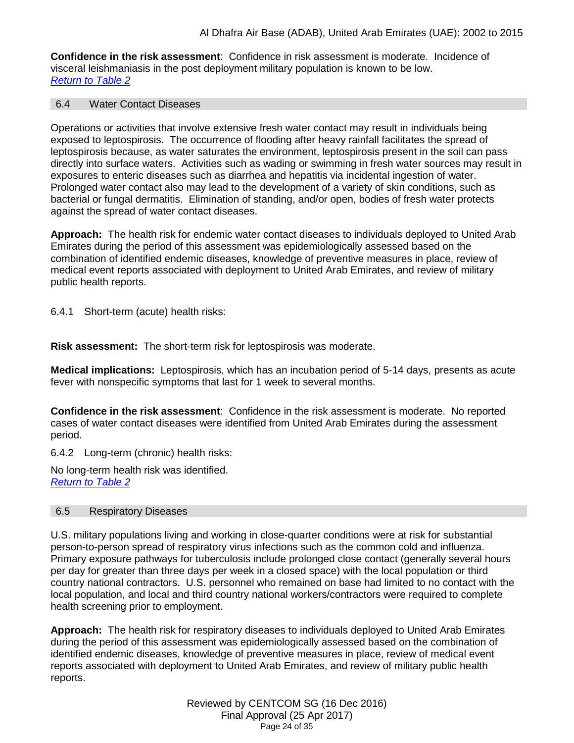**Confidence in the risk assessment**: Confidence in risk assessment is moderate. Incidence of visceral leishmaniasis in the post deployment military population is known to be low. *Return to Table 2*

#### <span id="page-23-0"></span>6.4 Water Contact Diseases

Operations or activities that involve extensive fresh water contact may result in individuals being exposed to leptospirosis. The occurrence of flooding after heavy rainfall facilitates the spread of leptospirosis because, as water saturates the environment, leptospirosis present in the soil can pass directly into surface waters. Activities such as wading or swimming in fresh water sources may result in exposures to enteric diseases such as diarrhea and hepatitis via incidental ingestion of water. Prolonged water contact also may lead to the development of a variety of skin conditions, such as bacterial or fungal dermatitis. Elimination of standing, and/or open, bodies of fresh water protects against the spread of water contact diseases.

**Approach:** The health risk for endemic water contact diseases to individuals deployed to United Arab Emirates during the period of this assessment was epidemiologically assessed based on the combination of identified endemic diseases, knowledge of preventive measures in place, review of medical event reports associated with deployment to United Arab Emirates, and review of military public health reports.

6.4.1 Short-term (acute) health risks:

**Risk assessment:** The short-term risk for leptospirosis was moderate.

**Medical implications:** Leptospirosis, which has an incubation period of 5-14 days, presents as acute fever with nonspecific symptoms that last for 1 week to several months.

**Confidence in the risk assessment**: Confidence in the risk assessment is moderate. No reported cases of water contact diseases were identified from United Arab Emirates during the assessment period.

6.4.2 Long-term (chronic) health risks:

No long-term health risk was identified. *[Return to Table 2](#page-5-0)*

#### <span id="page-23-1"></span>6.5 Respiratory Diseases

U.S. military populations living and working in close-quarter conditions were at risk for substantial person-to-person spread of respiratory virus infections such as the common cold and influenza. Primary exposure pathways for tuberculosis include prolonged close contact (generally several hours per day for greater than three days per week in a closed space) with the local population or third country national contractors. U.S. personnel who remained on base had limited to no contact with the local population, and local and third country national workers/contractors were required to complete health screening prior to employment.

**Approach:** The health risk for respiratory diseases to individuals deployed to United Arab Emirates during the period of this assessment was epidemiologically assessed based on the combination of identified endemic diseases, knowledge of preventive measures in place, review of medical event reports associated with deployment to United Arab Emirates, and review of military public health reports.

> Reviewed by CENTCOM SG (16 Dec 2016) Final Approval (25 Apr 2017) Page 24 of 35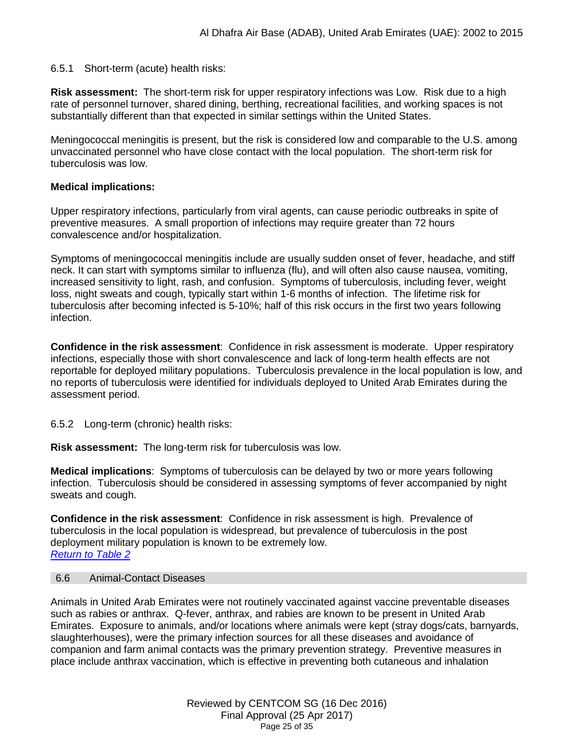#### 6.5.1 Short-term (acute) health risks:

**Risk assessment:** The short-term risk for upper respiratory infections was Low. Risk due to a high rate of personnel turnover, shared dining, berthing, recreational facilities, and working spaces is not substantially different than that expected in similar settings within the United States.

Meningococcal meningitis is present, but the risk is considered low and comparable to the U.S. among unvaccinated personnel who have close contact with the local population. The short-term risk for tuberculosis was low.

#### **Medical implications:**

Upper respiratory infections, particularly from viral agents, can cause periodic outbreaks in spite of preventive measures. A small proportion of infections may require greater than 72 hours convalescence and/or hospitalization.

Symptoms of meningococcal meningitis include are usually sudden onset of fever, headache, and stiff neck. It can start with symptoms similar to influenza (flu), and will often also cause nausea, vomiting, increased sensitivity to light, rash, and confusion. Symptoms of tuberculosis, including fever, weight loss, night sweats and cough, typically start within 1-6 months of infection. The lifetime risk for tuberculosis after becoming infected is 5-10%; half of this risk occurs in the first two years following infection.

**Confidence in the risk assessment**: Confidence in risk assessment is moderate. Upper respiratory infections, especially those with short convalescence and lack of long-term health effects are not reportable for deployed military populations. Tuberculosis prevalence in the local population is low, and no reports of tuberculosis were identified for individuals deployed to United Arab Emirates during the assessment period.

6.5.2 Long-term (chronic) health risks:

**Risk assessment:** The long-term risk for tuberculosis was low.

**Medical implications**: Symptoms of tuberculosis can be delayed by two or more years following infection. Tuberculosis should be considered in assessing symptoms of fever accompanied by night sweats and cough.

**Confidence in the risk assessment**: Confidence in risk assessment is high. Prevalence of tuberculosis in the local population is widespread, but prevalence of tuberculosis in the post deployment military population is known to be extremely low. *[Return to Table 2](#page-5-1)*

### <span id="page-24-0"></span>6.6 Animal-Contact Diseases

Animals in United Arab Emirates were not routinely vaccinated against vaccine preventable diseases such as rabies or anthrax. Q-fever, anthrax, and rabies are known to be present in United Arab Emirates. Exposure to animals, and/or locations where animals were kept (stray dogs/cats, barnyards, slaughterhouses), were the primary infection sources for all these diseases and avoidance of companion and farm animal contacts was the primary prevention strategy. Preventive measures in place include anthrax vaccination, which is effective in preventing both cutaneous and inhalation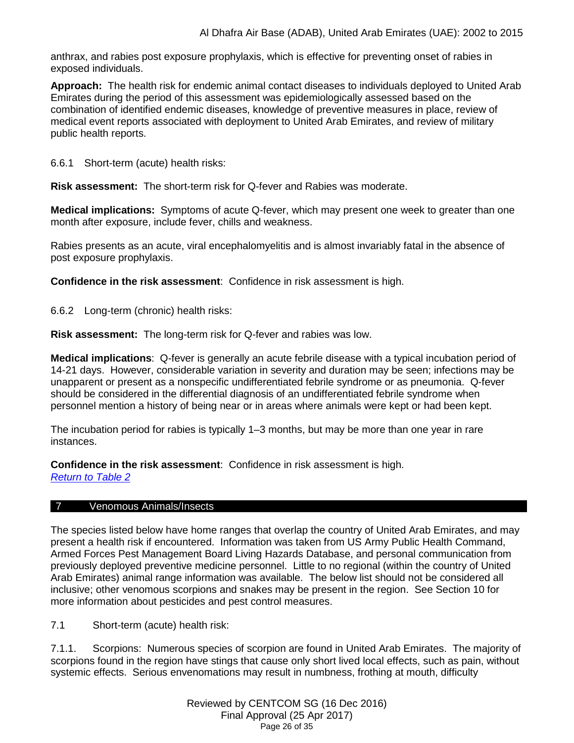anthrax, and rabies post exposure prophylaxis, which is effective for preventing onset of rabies in exposed individuals.

**Approach:** The health risk for endemic animal contact diseases to individuals deployed to United Arab Emirates during the period of this assessment was epidemiologically assessed based on the combination of identified endemic diseases, knowledge of preventive measures in place, review of medical event reports associated with deployment to United Arab Emirates, and review of military public health reports.

6.6.1 Short-term (acute) health risks:

**Risk assessment:** The short-term risk for Q-fever and Rabies was moderate.

**Medical implications:** Symptoms of acute Q-fever, which may present one week to greater than one month after exposure, include fever, chills and weakness.

Rabies presents as an acute, viral encephalomyelitis and is almost invariably fatal in the absence of post exposure prophylaxis.

**Confidence in the risk assessment**: Confidence in risk assessment is high.

6.6.2 Long-term (chronic) health risks:

**Risk assessment:** The long-term risk for Q-fever and rabies was low.

**Medical implications**: Q-fever is generally an acute febrile disease with a typical incubation period of 14-21 days. However, considerable variation in severity and duration may be seen; infections may be unapparent or present as a nonspecific undifferentiated febrile syndrome or as pneumonia. Q-fever should be considered in the differential diagnosis of an undifferentiated febrile syndrome when personnel mention a history of being near or in areas where animals were kept or had been kept.

The incubation period for rabies is typically 1–3 months, but may be more than one year in rare instances.

**Confidence in the risk assessment**: Confidence in risk assessment is high. *[Return to Table 2](#page-5-2)*

#### <span id="page-25-0"></span>7 Venomous Animals/Insects

The species listed below have home ranges that overlap the country of United Arab Emirates, and may present a health risk if encountered. Information was taken from US Army Public Health Command, Armed Forces Pest Management Board Living Hazards Database, and personal communication from previously deployed preventive medicine personnel. Little to no regional (within the country of United Arab Emirates) animal range information was available. The below list should not be considered all inclusive; other venomous scorpions and snakes may be present in the region. See Section 10 for more information about pesticides and pest control measures.

7.1 Short-term (acute) health risk:

7.1.1. Scorpions: Numerous species of scorpion are found in United Arab Emirates. The majority of scorpions found in the region have stings that cause only short lived local effects, such as pain, without systemic effects. Serious envenomations may result in numbness, frothing at mouth, difficulty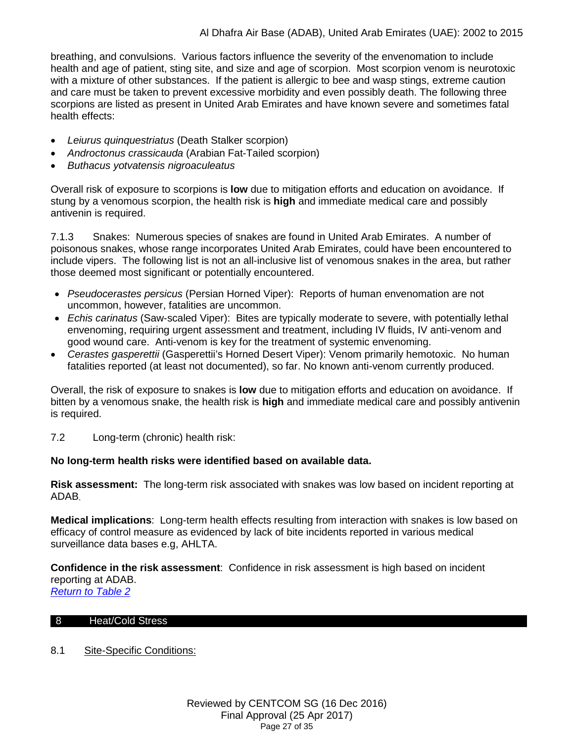breathing, and convulsions. Various factors influence the severity of the envenomation to include health and age of patient, sting site, and size and age of scorpion. Most scorpion venom is neurotoxic with a mixture of other substances. If the patient is allergic to bee and wasp stings, extreme caution and care must be taken to prevent excessive morbidity and even possibly death. The following three scorpions are listed as present in United Arab Emirates and have known severe and sometimes fatal health effects:

- *Leiurus quinquestriatus* (Death Stalker scorpion)
- *Androctonus crassicauda* (Arabian Fat-Tailed scorpion)
- *Buthacus yotvatensis nigroaculeatus*

Overall risk of exposure to scorpions is **low** due to mitigation efforts and education on avoidance. If stung by a venomous scorpion, the health risk is **high** and immediate medical care and possibly antivenin is required.

7.1.3 Snakes: Numerous species of snakes are found in United Arab Emirates. A number of poisonous snakes, whose range incorporates United Arab Emirates, could have been encountered to include vipers. The following list is not an all-inclusive list of venomous snakes in the area, but rather those deemed most significant or potentially encountered.

- *Pseudocerastes persicus* (Persian Horned Viper): Reports of human envenomation are not uncommon, however, fatalities are uncommon.
- *Echis carinatus* (Saw-scaled Viper): Bites are typically moderate to severe, with potentially lethal envenoming, requiring urgent assessment and treatment, including IV fluids, IV anti-venom and good wound care. Anti-venom is key for the treatment of systemic envenoming.
- *Cerastes gasperettii* (Gasperettii's Horned Desert Viper): Venom primarily hemotoxic. No human fatalities reported (at least not documented), so far. No known anti-venom currently produced.

Overall, the risk of exposure to snakes is **low** due to mitigation efforts and education on avoidance. If bitten by a venomous snake, the health risk is **high** and immediate medical care and possibly antivenin is required.

7.2 Long-term (chronic) health risk:

## **No long-term health risks were identified based on available data.**

**Risk assessment:** The long-term risk associated with snakes was low based on incident reporting at ADAB.

**Medical implications**: Long-term health effects resulting from interaction with snakes is low based on efficacy of control measure as evidenced by lack of bite incidents reported in various medical surveillance data bases e.g, AHLTA.

**Confidence in the risk assessment**: Confidence in risk assessment is high based on incident reporting at ADAB. *[Return to Table 2](#page-6-0)*

## <span id="page-26-0"></span>8 Heat/Cold Stress

8.1 Site-Specific Conditions: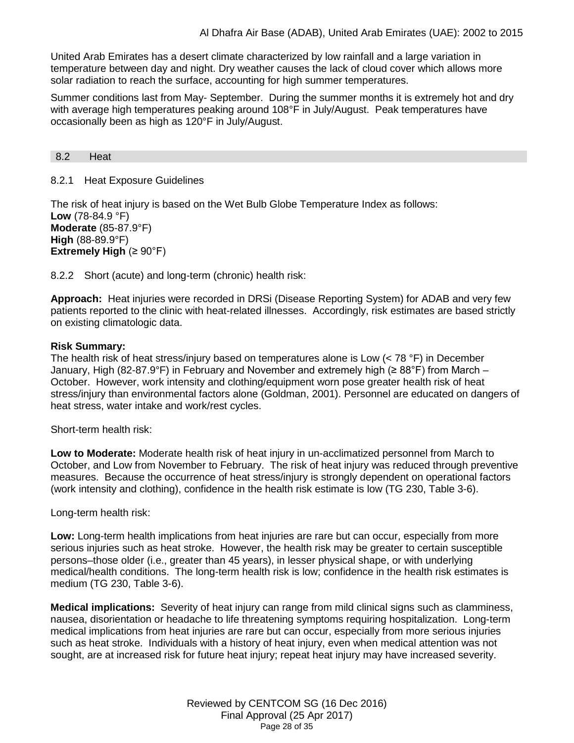United Arab Emirates has a desert climate characterized by low rainfall and a large variation in temperature between day and night. Dry weather causes the lack of cloud cover which allows more solar radiation to reach the surface, accounting for high summer temperatures.

Summer conditions last from May- September. During the summer months it is extremely hot and dry with average high temperatures peaking around 108°F in July/August. Peak temperatures have occasionally been as high as 120°F in July/August.

<span id="page-27-0"></span>8.2 Heat

#### 8.2.1 Heat Exposure Guidelines

The risk of heat injury is based on the Wet Bulb Globe Temperature Index as follows: **Low** (78-84.9 °F) **Moderate** (85-87.9°F) **High** (88-89.9°F) **Extremely High** (≥ 90°F)

8.2.2 Short (acute) and long-term (chronic) health risk:

**Approach:** Heat injuries were recorded in DRSi (Disease Reporting System) for ADAB and very few patients reported to the clinic with heat-related illnesses. Accordingly, risk estimates are based strictly on existing climatologic data.

#### **Risk Summary:**

The health risk of heat stress/injury based on temperatures alone is Low (< 78 °F) in December January, High (82-87.9°F) in February and November and extremely high (≥ 88°F) from March – October. However, work intensity and clothing/equipment worn pose greater health risk of heat stress/injury than environmental factors alone (Goldman, 2001). Personnel are educated on dangers of heat stress, water intake and work/rest cycles.

Short-term health risk:

**Low to Moderate:** Moderate health risk of heat injury in un-acclimatized personnel from March to October, and Low from November to February. The risk of heat injury was reduced through preventive measures. Because the occurrence of heat stress/injury is strongly dependent on operational factors (work intensity and clothing), confidence in the health risk estimate is low (TG 230, Table 3-6).

Long-term health risk:

**Low:** Long-term health implications from heat injuries are rare but can occur, especially from more serious injuries such as heat stroke. However, the health risk may be greater to certain susceptible persons–those older (i.e., greater than 45 years), in lesser physical shape, or with underlying medical/health conditions. The long-term health risk is low; confidence in the health risk estimates is medium (TG 230, Table 3-6).

**Medical implications:** Severity of heat injury can range from mild clinical signs such as clamminess, nausea, disorientation or headache to life threatening symptoms requiring hospitalization. Long-term medical implications from heat injuries are rare but can occur, especially from more serious injuries such as heat stroke. Individuals with a history of heat injury, even when medical attention was not sought, are at increased risk for future heat injury; repeat heat injury may have increased severity.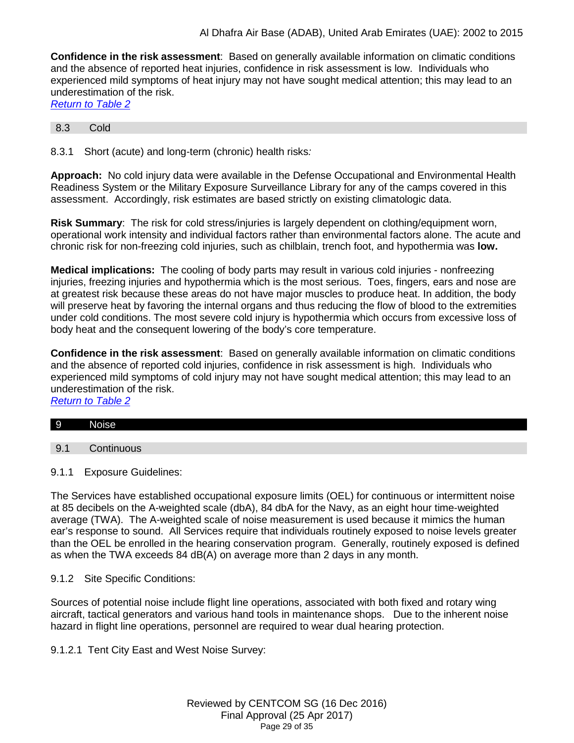**Confidence in the risk assessment**: Based on generally available information on climatic conditions and the absence of reported heat injuries, confidence in risk assessment is low. Individuals who experienced mild symptoms of heat injury may not have sought medical attention; this may lead to an underestimation of the risk.

| <b>Return to Table 2</b> |  |  |
|--------------------------|--|--|
|                          |  |  |

#### <span id="page-28-0"></span>8.3 Cold

8.3.1 Short (acute) and long-term (chronic) health risks*:*

**Approach:** No cold injury data were available in the Defense Occupational and Environmental Health Readiness System or the Military Exposure Surveillance Library for any of the camps covered in this assessment. Accordingly, risk estimates are based strictly on existing climatologic data.

**Risk Summary**: The risk for cold stress/injuries is largely dependent on clothing/equipment worn, operational work intensity and individual factors rather than environmental factors alone. The acute and chronic risk for non-freezing cold injuries, such as chilblain, trench foot, and hypothermia was **low.**

**Medical implications:** The cooling of body parts may result in various cold injuries - nonfreezing injuries, freezing injuries and hypothermia which is the most serious. Toes, fingers, ears and nose are at greatest risk because these areas do not have major muscles to produce heat. In addition, the body will preserve heat by favoring the internal organs and thus reducing the flow of blood to the extremities under cold conditions. The most severe cold injury is hypothermia which occurs from excessive loss of body heat and the consequent lowering of the body's core temperature.

**Confidence in the risk assessment**: Based on generally available information on climatic conditions and the absence of reported cold injuries, confidence in risk assessment is high. Individuals who experienced mild symptoms of cold injury may not have sought medical attention; this may lead to an underestimation of the risk.

*[Return to Table 2](#page-6-2)*

|  |  |  | <b>Noise</b> |
|--|--|--|--------------|
|--|--|--|--------------|

<span id="page-28-1"></span>9.1 Continuous

9.1.1 Exposure Guidelines:

The Services have established occupational exposure limits (OEL) for continuous or intermittent noise at 85 decibels on the A-weighted scale (dbA), 84 dbA for the Navy, as an eight hour time-weighted average (TWA). The A-weighted scale of noise measurement is used because it mimics the human ear's response to sound. All Services require that individuals routinely exposed to noise levels greater than the OEL be enrolled in the hearing conservation program. Generally, routinely exposed is defined as when the TWA exceeds 84 dB(A) on average more than 2 days in any month.

#### 9.1.2 Site Specific Conditions:

Sources of potential noise include flight line operations, associated with both fixed and rotary wing aircraft, tactical generators and various hand tools in maintenance shops. Due to the inherent noise hazard in flight line operations, personnel are required to wear dual hearing protection.

9.1.2.1 Tent City East and West Noise Survey: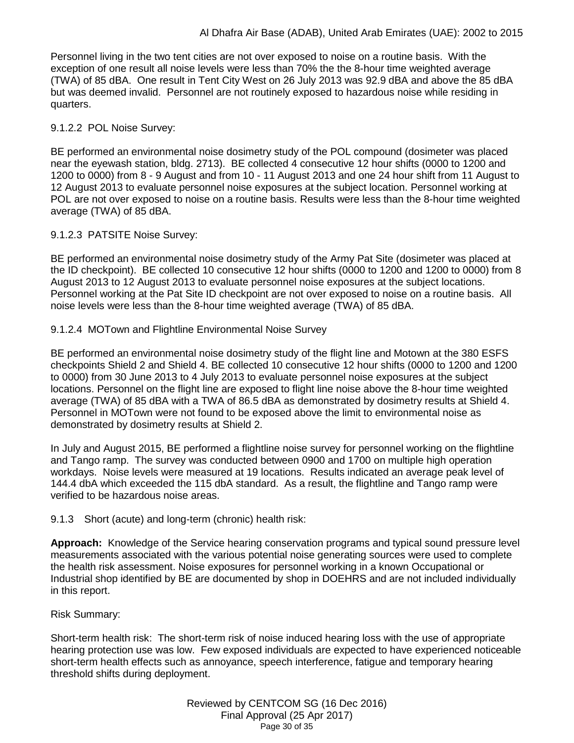Personnel living in the two tent cities are not over exposed to noise on a routine basis. With the exception of one result all noise levels were less than 70% the the 8-hour time weighted average (TWA) of 85 dBA. One result in Tent City West on 26 July 2013 was 92.9 dBA and above the 85 dBA but was deemed invalid. Personnel are not routinely exposed to hazardous noise while residing in quarters.

## 9.1.2.2 POL Noise Survey:

BE performed an environmental noise dosimetry study of the POL compound (dosimeter was placed near the eyewash station, bldg. 2713). BE collected 4 consecutive 12 hour shifts (0000 to 1200 and 1200 to 0000) from 8 - 9 August and from 10 - 11 August 2013 and one 24 hour shift from 11 August to 12 August 2013 to evaluate personnel noise exposures at the subject location. Personnel working at POL are not over exposed to noise on a routine basis. Results were less than the 8-hour time weighted average (TWA) of 85 dBA.

## 9.1.2.3 PATSITE Noise Survey:

BE performed an environmental noise dosimetry study of the Army Pat Site (dosimeter was placed at the ID checkpoint). BE collected 10 consecutive 12 hour shifts (0000 to 1200 and 1200 to 0000) from 8 August 2013 to 12 August 2013 to evaluate personnel noise exposures at the subject locations. Personnel working at the Pat Site ID checkpoint are not over exposed to noise on a routine basis. All noise levels were less than the 8-hour time weighted average (TWA) of 85 dBA.

## 9.1.2.4 MOTown and Flightline Environmental Noise Survey

BE performed an environmental noise dosimetry study of the flight line and Motown at the 380 ESFS checkpoints Shield 2 and Shield 4. BE collected 10 consecutive 12 hour shifts (0000 to 1200 and 1200 to 0000) from 30 June 2013 to 4 July 2013 to evaluate personnel noise exposures at the subject locations. Personnel on the flight line are exposed to flight line noise above the 8-hour time weighted average (TWA) of 85 dBA with a TWA of 86.5 dBA as demonstrated by dosimetry results at Shield 4. Personnel in MOTown were not found to be exposed above the limit to environmental noise as demonstrated by dosimetry results at Shield 2.

In July and August 2015, BE performed a flightline noise survey for personnel working on the flightline and Tango ramp. The survey was conducted between 0900 and 1700 on multiple high operation workdays. Noise levels were measured at 19 locations. Results indicated an average peak level of 144.4 dbA which exceeded the 115 dbA standard. As a result, the flightline and Tango ramp were verified to be hazardous noise areas.

## 9.1.3 Short (acute) and long-term (chronic) health risk:

**Approach:** Knowledge of the Service hearing conservation programs and typical sound pressure level measurements associated with the various potential noise generating sources were used to complete the health risk assessment. Noise exposures for personnel working in a known Occupational or Industrial shop identified by BE are documented by shop in DOEHRS and are not included individually in this report.

## Risk Summary:

Short-term health risk: The short-term risk of noise induced hearing loss with the use of appropriate hearing protection use was low. Few exposed individuals are expected to have experienced noticeable short-term health effects such as annoyance, speech interference, fatigue and temporary hearing threshold shifts during deployment.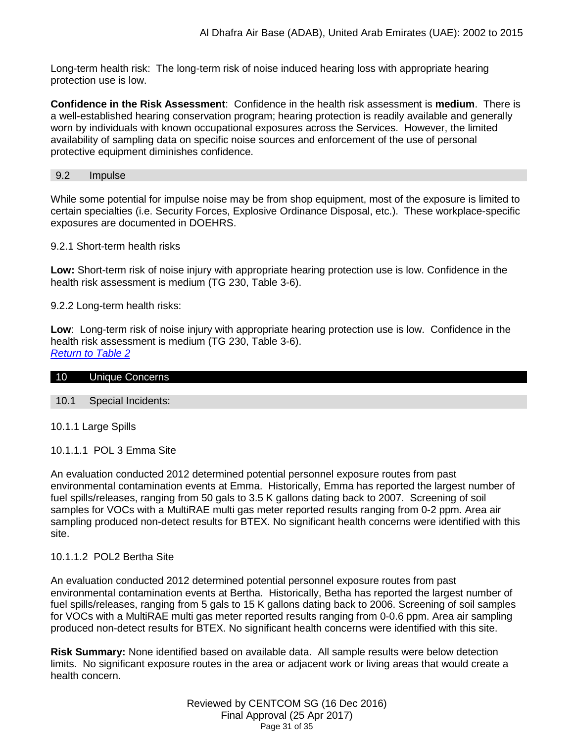Long-term health risk: The long-term risk of noise induced hearing loss with appropriate hearing protection use is low.

**Confidence in the Risk Assessment**: Confidence in the health risk assessment is **medium**. There is a well-established hearing conservation program; hearing protection is readily available and generally worn by individuals with known occupational exposures across the Services. However, the limited availability of sampling data on specific noise sources and enforcement of the use of personal protective equipment diminishes confidence.

#### 9.2 Impulse

While some potential for impulse noise may be from shop equipment, most of the exposure is limited to certain specialties (i.e. Security Forces, Explosive Ordinance Disposal, etc.). These workplace-specific exposures are documented in DOEHRS.

#### 9.2.1 Short-term health risks

**Low:** Short-term risk of noise injury with appropriate hearing protection use is low. Confidence in the health risk assessment is medium (TG 230, Table 3-6).

9.2.2 Long-term health risks:

**Low**: Long-term risk of noise injury with appropriate hearing protection use is low. Confidence in the health risk assessment is medium (TG 230, Table 3-6). *[Return to Table 2](#page-6-3)*

<span id="page-30-0"></span>

| 10 | Unique Concerns |  |  |
|----|-----------------|--|--|

#### 10.1 Special Incidents:

10.1.1 Large Spills

10.1.1.1 POL 3 Emma Site

An evaluation conducted 2012 determined potential personnel exposure routes from past environmental contamination events at Emma. Historically, Emma has reported the largest number of fuel spills/releases, ranging from 50 gals to 3.5 K gallons dating back to 2007. Screening of soil samples for VOCs with a MultiRAE multi gas meter reported results ranging from 0-2 ppm. Area air sampling produced non-detect results for BTEX. No significant health concerns were identified with this site.

## 10.1.1.2 POL2 Bertha Site

An evaluation conducted 2012 determined potential personnel exposure routes from past environmental contamination events at Bertha. Historically, Betha has reported the largest number of fuel spills/releases, ranging from 5 gals to 15 K gallons dating back to 2006. Screening of soil samples for VOCs with a MultiRAE multi gas meter reported results ranging from 0-0.6 ppm. Area air sampling produced non-detect results for BTEX. No significant health concerns were identified with this site.

**Risk Summary:** None identified based on available data.All sample results were below detection limits. No significant exposure routes in the area or adjacent work or living areas that would create a health concern.

> Reviewed by CENTCOM SG (16 Dec 2016) Final Approval (25 Apr 2017) Page 31 of 35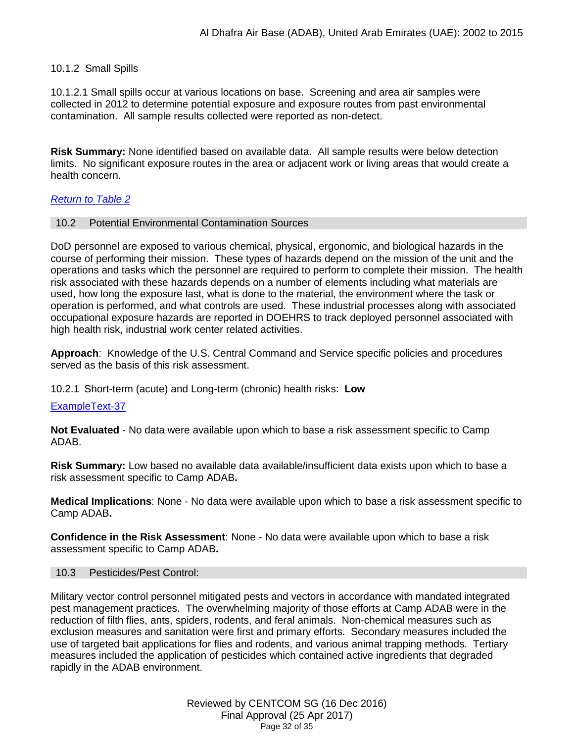### 10.1.2 Small Spills

10.1.2.1 Small spills occur at various locations on base. Screening and area air samples were collected in 2012 to determine potential exposure and exposure routes from past environmental contamination. All sample results collected were reported as non-detect.

**Risk Summary:** None identified based on available data.All sample results were below detection limits. No significant exposure routes in the area or adjacent work or living areas that would create a health concern.

### *[Return to Table 2](#page-6-4)*

#### 10.2 Potential Environmental Contamination Sources

DoD personnel are exposed to various chemical, physical, ergonomic, and biological hazards in the course of performing their mission. These types of hazards depend on the mission of the unit and the operations and tasks which the personnel are required to perform to complete their mission. The health risk associated with these hazards depends on a number of elements including what materials are used, how long the exposure last, what is done to the material, the environment where the task or operation is performed, and what controls are used. These industrial processes along with associated occupational exposure hazards are reported in DOEHRS to track deployed personnel associated with high health risk, industrial work center related activities.

**Approach**: Knowledge of the U.S. Central Command and Service specific policies and procedures served as the basis of this risk assessment.

10.2.1 Short-term (acute) and Long-term (chronic) health risks: **Low**

#### ExampleText-37

**Not Evaluated** - No data were available upon which to base a risk assessment specific to Camp ADAB.

**Risk Summary:** Low based no available data available/insufficient data exists upon which to base a risk assessment specific to Camp ADAB**.**

**Medical Implications**: None - No data were available upon which to base a risk assessment specific to Camp ADAB**.**

**Confidence in the Risk Assessment**: None - No data were available upon which to base a risk assessment specific to Camp ADAB**.**

#### 10.3 Pesticides/Pest Control:

Military vector control personnel mitigated pests and vectors in accordance with mandated integrated pest management practices. The overwhelming majority of those efforts at Camp ADAB were in the reduction of filth flies, ants, spiders, rodents, and feral animals. Non-chemical measures such as exclusion measures and sanitation were first and primary efforts. Secondary measures included the use of targeted bait applications for flies and rodents, and various animal trapping methods. Tertiary measures included the application of pesticides which contained active ingredients that degraded rapidly in the ADAB environment.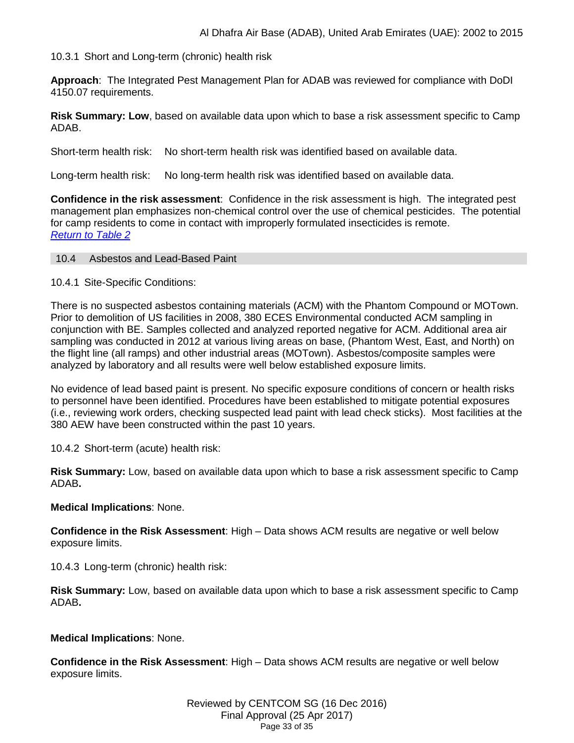#### 10.3.1 Short and Long-term (chronic) health risk

**Approach**: The Integrated Pest Management Plan for ADAB was reviewed for compliance with DoDI 4150.07 requirements.

**Risk Summary: Low**, based on available data upon which to base a risk assessment specific to Camp ADAB.

Short-term health risk: No short-term health risk was identified based on available data.

Long-term health risk: No long-term health risk was identified based on available data.

**Confidence in the risk assessment**: Confidence in the risk assessment is high. The integrated pest management plan emphasizes non-chemical control over the use of chemical pesticides. The potential for camp residents to come in contact with improperly formulated insecticides is remote. *[Return to Table 2](#page-6-4)*

#### 10.4 Asbestos and Lead-Based Paint

10.4.1 Site-Specific Conditions:

There is no suspected asbestos containing materials (ACM) with the Phantom Compound or MOTown. Prior to demolition of US facilities in 2008, 380 ECES Environmental conducted ACM sampling in conjunction with BE. Samples collected and analyzed reported negative for ACM. Additional area air sampling was conducted in 2012 at various living areas on base, (Phantom West, East, and North) on the flight line (all ramps) and other industrial areas (MOTown). Asbestos/composite samples were analyzed by laboratory and all results were well below established exposure limits.

No evidence of lead based paint is present. No specific exposure conditions of concern or health risks to personnel have been identified. Procedures have been established to mitigate potential exposures (i.e., reviewing work orders, checking suspected lead paint with lead check sticks). Most facilities at the 380 AEW have been constructed within the past 10 years.

10.4.2 Short-term (acute) health risk:

**Risk Summary:** Low, based on available data upon which to base a risk assessment specific to Camp ADAB**.**

#### **Medical Implications**: None.

**Confidence in the Risk Assessment**: High – Data shows ACM results are negative or well below exposure limits.

10.4.3 Long-term (chronic) health risk:

**Risk Summary:** Low, based on available data upon which to base a risk assessment specific to Camp ADAB**.**

#### **Medical Implications**: None.

**Confidence in the Risk Assessment**: High – Data shows ACM results are negative or well below exposure limits.

> Reviewed by CENTCOM SG (16 Dec 2016) Final Approval (25 Apr 2017) Page 33 of 35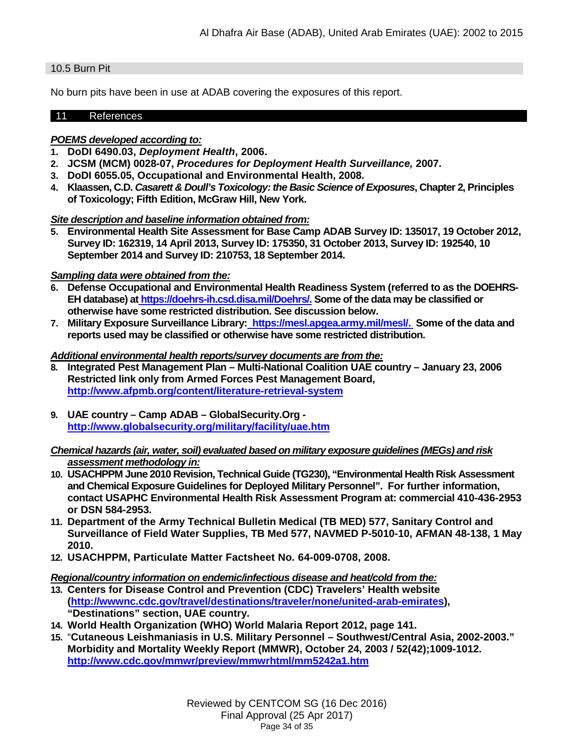### 10.5 Burn Pit

No burn pits have been in use at ADAB covering the exposures of this report.

#### 11 References

## *POEMS developed according to:*

- **1. DoDI 6490.03,** *Deployment Health***, 2006.**
- **2. JCSM (MCM) 0028-07,** *Procedures for Deployment Health Surveillance,* **2007.**
- **3. DoDI 6055.05, Occupational and Environmental Health, 2008.**
- **4. Klaassen, C.D.** *Casarett & Doull's Toxicology: the Basic Science of Exposures***, Chapter 2, Principles of Toxicology; Fifth Edition, McGraw Hill, New York.**

### *Site description and baseline information obtained from:*

**5. Environmental Health Site Assessment for Base Camp ADAB Survey ID: 135017, 19 October 2012, Survey ID: 162319, 14 April 2013, Survey ID: 175350, 31 October 2013, Survey ID: 192540, 10 September 2014 and Survey ID: 210753, 18 September 2014.**

### *Sampling data were obtained from the:*

- **6. Defense Occupational and Environmental Health Readiness System (referred to as the DOEHRS-EH database) at [https://doehrs-ih.csd.disa.mil/Doehrs/.](https://doehrs-ih.csd.disa.mil/Doehrs/) Some of the data may be classified or otherwise have some restricted distribution. See discussion below.**
- **7. Military Exposure Surveillance Library: [https://mesl.apgea.army.mil/mesl/.](https://mesl.apgea.army.mil/mesl/) Some of the data and reports used may be classified or otherwise have some restricted distribution.**

#### *Additional environmental health reports/survey documents are from the:*

- **8. Integrated Pest Management Plan – Multi-National Coalition UAE country – January 23, 2006 Restricted link only from Armed Forces Pest Management Board, <http://www.afpmb.org/content/literature-retrieval-system>**
- **9. UAE country – Camp ADAB – GlobalSecurity.Org <http://www.globalsecurity.org/military/facility/uae.htm>**

### *Chemical hazards (air, water, soil) evaluated based on military exposure guidelines (MEGs) and risk assessment methodology in:*

- **10. USACHPPM June 2010 Revision, Technical Guide (TG230), "Environmental Health Risk Assessment and Chemical Exposure Guidelines for Deployed Military Personnel". For further information, contact USAPHC Environmental Health Risk Assessment Program at: commercial 410-436-2953 or DSN 584-2953.**
- **11. Department of the Army Technical Bulletin Medical (TB MED) 577, Sanitary Control and Surveillance of Field Water Supplies, TB Med 577, NAVMED P-5010-10, AFMAN 48-138, 1 May 2010.**
- **12. USACHPPM, Particulate Matter Factsheet No. 64-009-0708, 2008.**

#### *Regional/country information on endemic/infectious disease and heat/cold from the:*

- **13. Centers for Disease Control and Prevention (CDC) Travelers' Health website [\(http://wwwnc.cdc.gov/travel/destinations/traveler/none/united-arab-emirates\)](http://wwwnc.cdc.gov/travel/destinations/traveler/none/united-arab-emirates), "Destinations" section, UAE country.**
- **14. World Health Organization (WHO) World Malaria Report 2012, page 141.**
- **15.** "**Cutaneous Leishmaniasis in U.S. Military Personnel – Southwest/Central Asia, 2002-2003." Morbidity and Mortality Weekly Report (MMWR), October 24, 2003 / 52(42);1009-1012. <http://www.cdc.gov/mmwr/preview/mmwrhtml/mm5242a1.htm>**